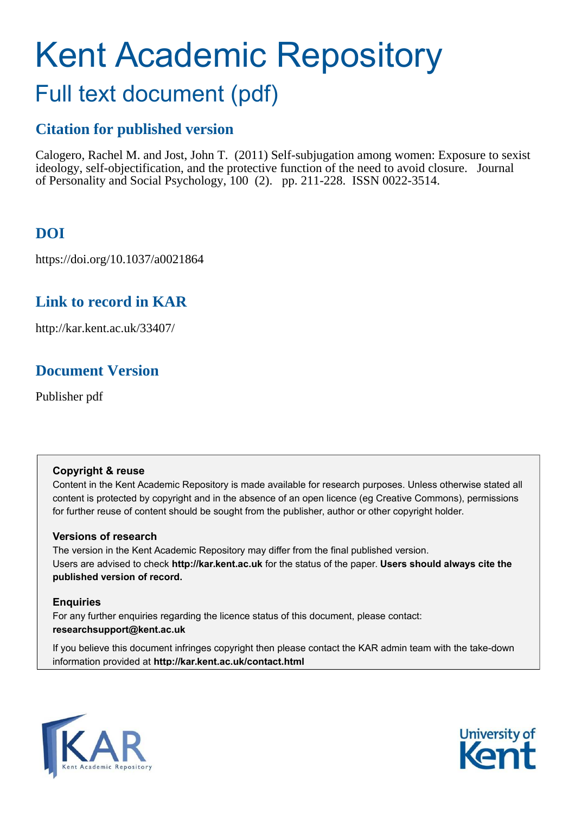# Kent Academic Repository

## Full text document (pdf)

## **Citation for published version**

Calogero, Rachel M. and Jost, John T. (2011) Self-subjugation among women: Exposure to sexist ideology, self-objectification, and the protective function of the need to avoid closure. Journal of Personality and Social Psychology, 100 (2). pp. 211-228. ISSN 0022-3514.

## **DOI**

https://doi.org/10.1037/a0021864

## **Link to record in KAR**

http://kar.kent.ac.uk/33407/

## **Document Version**

Publisher pdf

## **Copyright & reuse**

Content in the Kent Academic Repository is made available for research purposes. Unless otherwise stated all content is protected by copyright and in the absence of an open licence (eg Creative Commons), permissions for further reuse of content should be sought from the publisher, author or other copyright holder.

## **Versions of research**

The version in the Kent Academic Repository may differ from the final published version. Users are advised to check **http://kar.kent.ac.uk** for the status of the paper. **Users should always cite the published version of record.**

## **Enquiries**

For any further enquiries regarding the licence status of this document, please contact: **researchsupport@kent.ac.uk**

If you believe this document infringes copyright then please contact the KAR admin team with the take-down information provided at **http://kar.kent.ac.uk/contact.html**



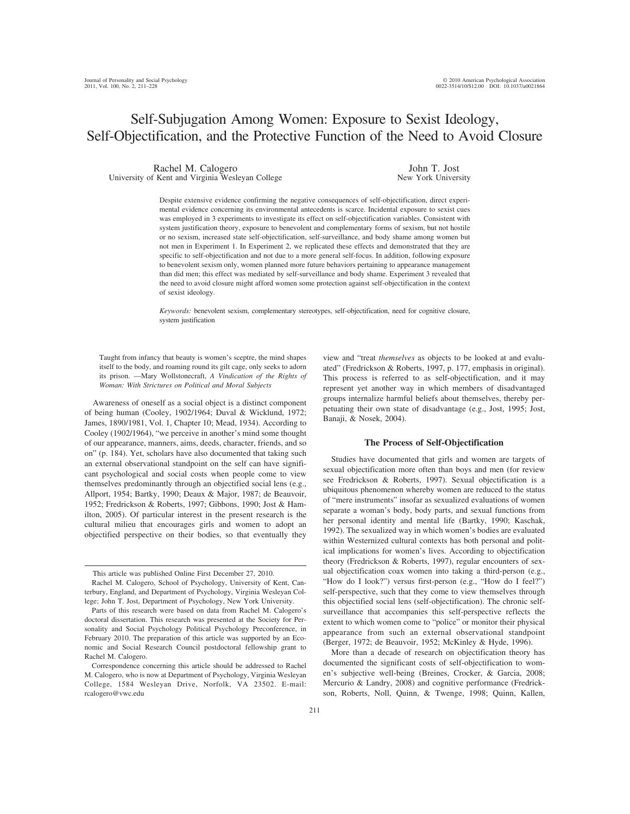## Self-Subjugation Among Women: Exposure to Sexist Ideology, Self-Objectification, and the Protective Function of the Need to Avoid Closure

Rachel M. Calogero University of Kent and Virginia Wesleyan College

John T. Jost New York University

Despite extensive evidence confirming the negative consequences of self-objectification, direct experimental evidence concerning its environmental antecedents is scarce. Incidental exposure to sexist cues was employed in 3 experiments to investigate its effect on self-objectification variables. Consistent with system justification theory, exposure to benevolent and complementary forms of sexism, but not hostile or no sexism, increased state self-objectification, self-surveillance, and body shame among women but not men in Experiment 1. In Experiment 2, we replicated these effects and demonstrated that they are specific to self-objectification and not due to a more general self-focus. In addition, following exposure to benevolent sexism only, women planned more future behaviors pertaining to appearance management than did men; this effect was mediated by self-surveillance and body shame. Experiment 3 revealed that the need to avoid closure might afford women some protection against self-objectification in the context of sexist ideology.

*Keywords:* benevolent sexism, complementary stereotypes, self-objectification, need for cognitive closure, system justification

Taught from infancy that beauty is women's sceptre, the mind shapes itself to the body, and roaming round its gilt cage, only seeks to adorn its prison. —Mary Wollstonecraft, *A Vindication of the Rights of Woman: With Strictures on Political and Moral Subjects*

Awareness of oneself as a social object is a distinct component of being human (Cooley, 1902/1964; Duval & Wicklund, 1972; James, 1890/1981, Vol. 1, Chapter 10; Mead, 1934). According to Cooley (1902/1964), "we perceive in another's mind some thought of our appearance, manners, aims, deeds, character, friends, and so on" (p. 184). Yet, scholars have also documented that taking such an external observational standpoint on the self can have significant psychological and social costs when people come to view themselves predominantly through an objectified social lens (e.g., Allport, 1954; Bartky, 1990; Deaux & Major, 1987; de Beauvoir, 1952; Fredrickson & Roberts, 1997; Gibbons, 1990; Jost & Hamilton, 2005). Of particular interest in the present research is the cultural milieu that encourages girls and women to adopt an objectified perspective on their bodies, so that eventually they

view and "treat *themselves* as objects to be looked at and evaluated" (Fredrickson & Roberts, 1997, p. 177, emphasis in original). This process is referred to as self-objectification, and it may represent yet another way in which members of disadvantaged groups internalize harmful beliefs about themselves, thereby perpetuating their own state of disadvantage (e.g., Jost, 1995; Jost, Banaji, & Nosek, 2004).

#### **The Process of Self-Objectification**

Studies have documented that girls and women are targets of sexual objectification more often than boys and men (for review see Fredrickson & Roberts, 1997). Sexual objectification is a ubiquitous phenomenon whereby women are reduced to the status of "mere instruments" insofar as sexualized evaluations of women separate a woman's body, body parts, and sexual functions from her personal identity and mental life (Bartky, 1990; Kaschak, 1992). The sexualized way in which women's bodies are evaluated within Westernized cultural contexts has both personal and political implications for women's lives. According to objectification theory (Fredrickson & Roberts, 1997), regular encounters of sexual objectification coax women into taking a third-person (e.g., "How do I look?") versus first-person (e.g., "How do I feel?") self-perspective, such that they come to view themselves through this objectified social lens (self-objectification). The chronic selfsurveillance that accompanies this self-perspective reflects the extent to which women come to "police" or monitor their physical appearance from such an external observational standpoint (Berger, 1972; de Beauvoir, 1952; McKinley & Hyde, 1996).

More than a decade of research on objectification theory has documented the significant costs of self-objectification to women's subjective well-being (Breines, Crocker, & Garcia, 2008; Mercurio & Landry, 2008) and cognitive performance (Fredrickson, Roberts, Noll, Quinn, & Twenge, 1998; Quinn, Kallen,

This article was published Online First December 27, 2010.

Rachel M. Calogero, School of Psychology, University of Kent, Canterbury, England, and Department of Psychology, Virginia Wesleyan College; John T. Jost, Department of Psychology, New York University.

Parts of this research were based on data from Rachel M. Calogero's doctoral dissertation. This research was presented at the Society for Personality and Social Psychology Political Psychology Preconference, in February 2010. The preparation of this article was supported by an Economic and Social Research Council postdoctoral fellowship grant to Rachel M. Calogero.

Correspondence concerning this article should be addressed to Rachel M. Calogero, who is now at Department of Psychology, Virginia Wesleyan College, 1584 Wesleyan Drive, Norfolk, VA 23502. E-mail: rcalogero@vwc.edu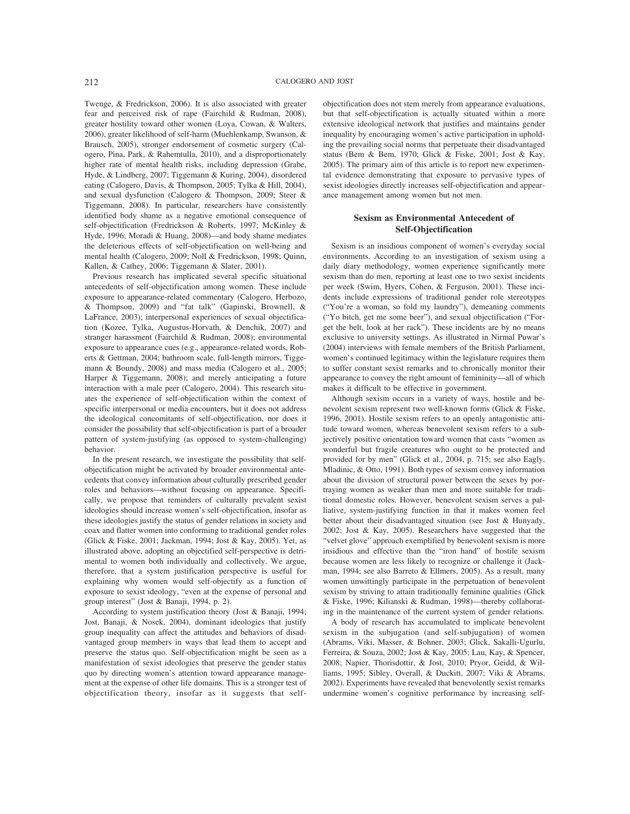Twenge, & Fredrickson, 2006). It is also associated with greater fear and perceived risk of rape (Fairchild & Rudman, 2008), greater hostility toward other women (Loya, Cowan, & Walters, 2006), greater likelihood of self-harm (Muehlenkamp, Swanson, & Brausch, 2005), stronger endorsement of cosmetic surgery (Calogero, Pina, Park, & Rahemtulla, 2010), and a disproportionately higher rate of mental health risks, including depression (Grabe, Hyde, & Lindberg, 2007; Tiggemann & Kuring, 2004), disordered eating (Calogero, Davis, & Thompson, 2005; Tylka & Hill, 2004), and sexual dysfunction (Calogero & Thompson, 2009; Steer & Tiggemann, 2008). In particular, researchers have consistently identified body shame as a negative emotional consequence of self-objectification (Fredrickson & Roberts, 1997; McKinley & Hyde, 1996; Moradi & Huang, 2008)—and body shame mediates the deleterious effects of self-objectification on well-being and mental health (Calogero, 2009; Noll & Fredrickson, 1998; Quinn, Kallen, & Cathey, 2006; Tiggemann & Slater, 2001).

Previous research has implicated several specific situational antecedents of self-objectification among women. These include exposure to appearance-related commentary (Calogero, Herbozo, & Thompson, 2009) and "fat talk" (Gapinski, Brownell, & LaFrance, 2003); interpersonal experiences of sexual objectification (Kozee, Tylka, Augustus-Horvath, & Denchik, 2007) and stranger harassment (Fairchild & Rudman, 2008); environmental exposure to appearance cues (e.g., appearance-related words, Roberts & Gettman, 2004; bathroom scale, full-length mirrors, Tiggemann & Boundy, 2008) and mass media (Calogero et al., 2005; Harper & Tiggemann, 2008); and merely anticipating a future interaction with a male peer (Calogero, 2004). This research situates the experience of self-objectification within the context of specific interpersonal or media encounters, but it does not address the ideological concomitants of self-objectification, nor does it consider the possibility that self-objectification is part of a broader pattern of system-justifying (as opposed to system-challenging) behavior.

In the present research, we investigate the possibility that selfobjectification might be activated by broader environmental antecedents that convey information about culturally prescribed gender roles and behaviors—without focusing on appearance. Specifically, we propose that reminders of culturally prevalent sexist ideologies should increase women's self-objectification, insofar as these ideologies justify the status of gender relations in society and coax and flatter women into conforming to traditional gender roles (Glick & Fiske, 2001; Jackman, 1994; Jost & Kay, 2005). Yet, as illustrated above, adopting an objectified self-perspective is detrimental to women both individually and collectively. We argue, therefore, that a system justification perspective is useful for explaining why women would self-objectify as a function of exposure to sexist ideology, "even at the expense of personal and group interest" (Jost & Banaji, 1994, p. 2).

According to system justification theory (Jost & Banaji, 1994; Jost, Banaji, & Nosek, 2004), dominant ideologies that justify group inequality can affect the attitudes and behaviors of disadvantaged group members in ways that lead them to accept and preserve the status quo. Self-objectification might be seen as a manifestation of sexist ideologies that preserve the gender status quo by directing women's attention toward appearance management at the expense of other life domains. This is a stronger test of objectification theory, insofar as it suggests that selfobjectification does not stem merely from appearance evaluations, but that self-objectification is actually situated within a more extensive ideological network that justifies and maintains gender inequality by encouraging women's active participation in upholding the prevailing social norms that perpetuate their disadvantaged status (Bem & Bem, 1970; Glick & Fiske, 2001; Jost & Kay, 2005). The primary aim of this article is to report new experimental evidence demonstrating that exposure to pervasive types of sexist ideologies directly increases self-objectification and appearance management among women but not men.

#### **Sexism as Environmental Antecedent of Self-Objectification**

Sexism is an insidious component of women's everyday social environments. According to an investigation of sexism using a daily diary methodology, women experience significantly more sexism than do men, reporting at least one to two sexist incidents per week (Swim, Hyers, Cohen, & Ferguson, 2001). These incidents include expressions of traditional gender role stereotypes ("You're a woman, so fold my laundry"), demeaning comments ("Yo bitch, get me some beer"), and sexual objectification ("Forget the belt, look at her rack"). These incidents are by no means exclusive to university settings. As illustrated in Nirmal Puwar's (2004) interviews with female members of the British Parliament, women's continued legitimacy within the legislature requires them to suffer constant sexist remarks and to chronically monitor their appearance to convey the right amount of femininity—all of which makes it difficult to be effective in government.

Although sexism occurs in a variety of ways, hostile and benevolent sexism represent two well-known forms (Glick & Fiske, 1996, 2001). Hostile sexism refers to an openly antagonistic attitude toward women, whereas benevolent sexism refers to a subjectively positive orientation toward women that casts "women as wonderful but fragile creatures who ought to be protected and provided for by men" (Glick et al., 2004, p. 715; see also Eagly, Mladinic, & Otto, 1991). Both types of sexism convey information about the division of structural power between the sexes by portraying women as weaker than men and more suitable for traditional domestic roles. However, benevolent sexism serves a palliative, system-justifying function in that it makes women feel better about their disadvantaged situation (see Jost & Hunyady, 2002; Jost & Kay, 2005). Researchers have suggested that the "velvet glove" approach exemplified by benevolent sexism is more insidious and effective than the "iron hand" of hostile sexism because women are less likely to recognize or challenge it (Jackman, 1994; see also Barreto & Ellmers, 2005). As a result, many women unwittingly participate in the perpetuation of benevolent sexism by striving to attain traditionally feminine qualities (Glick & Fiske, 1996; Kilianski & Rudman, 1998)—thereby collaborating in the maintenance of the current system of gender relations.

A body of research has accumulated to implicate benevolent sexism in the subjugation (and self-subjugation) of women (Abrams, Viki, Masser, & Bohner, 2003; Glick, Sakalli-Ugurlu, Ferreira, & Souza, 2002; Jost & Kay, 2005; Lau, Kay, & Spencer, 2008; Napier, Thorisdottir, & Jost, 2010; Pryor, Geidd, & Williams, 1995; Sibley, Overall, & Duckitt, 2007; Viki & Abrams, 2002). Experiments have revealed that benevolently sexist remarks undermine women's cognitive performance by increasing self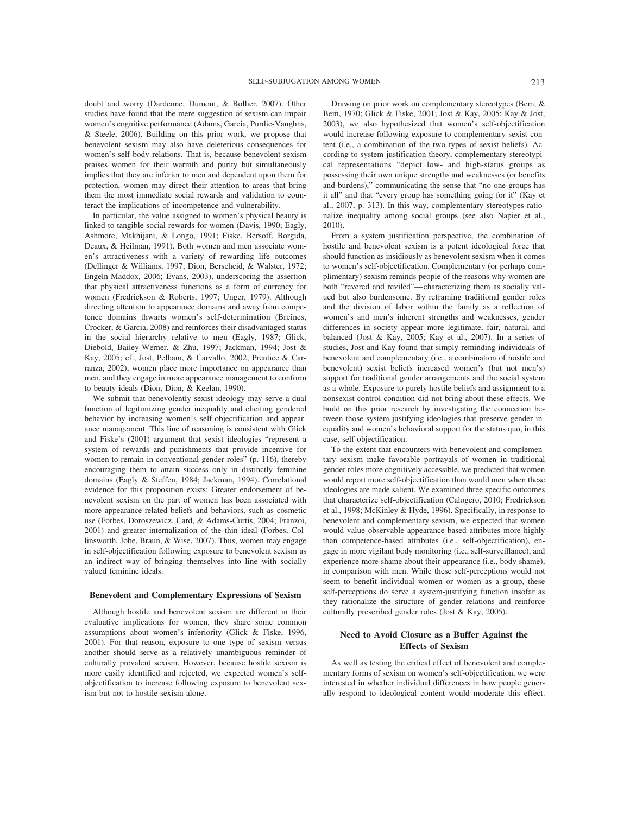doubt and worry (Dardenne, Dumont, & Bollier, 2007). Other studies have found that the mere suggestion of sexism can impair women's cognitive performance (Adams, Garcia, Purdie-Vaughns, & Steele, 2006). Building on this prior work, we propose that benevolent sexism may also have deleterious consequences for women's self-body relations. That is, because benevolent sexism praises women for their warmth and purity but simultaneously implies that they are inferior to men and dependent upon them for protection, women may direct their attention to areas that bring them the most immediate social rewards and validation to counteract the implications of incompetence and vulnerability.

In particular, the value assigned to women's physical beauty is linked to tangible social rewards for women (Davis, 1990; Eagly, Ashmore, Makhijani, & Longo, 1991; Fiske, Bersoff, Borgida, Deaux, & Heilman, 1991). Both women and men associate women's attractiveness with a variety of rewarding life outcomes (Dellinger & Williams, 1997; Dion, Berscheid, & Walster, 1972; Engeln-Maddox, 2006; Evans, 2003), underscoring the assertion that physical attractiveness functions as a form of currency for women (Fredrickson & Roberts, 1997; Unger, 1979). Although directing attention to appearance domains and away from competence domains thwarts women's self-determination (Breines, Crocker, & Garcia, 2008) and reinforces their disadvantaged status in the social hierarchy relative to men (Eagly, 1987; Glick, Diebold, Bailey-Werner, & Zhu, 1997; Jackman, 1994; Jost & Kay, 2005; cf., Jost, Pelham, & Carvallo, 2002; Prentice & Carranza, 2002), women place more importance on appearance than men, and they engage in more appearance management to conform to beauty ideals (Dion, Dion, & Keelan, 1990).

We submit that benevolently sexist ideology may serve a dual function of legitimizing gender inequality and eliciting gendered behavior by increasing women's self-objectification and appearance management. This line of reasoning is consistent with Glick and Fiske's (2001) argument that sexist ideologies "represent a system of rewards and punishments that provide incentive for women to remain in conventional gender roles" (p. 116), thereby encouraging them to attain success only in distinctly feminine domains (Eagly & Steffen, 1984; Jackman, 1994). Correlational evidence for this proposition exists: Greater endorsement of benevolent sexism on the part of women has been associated with more appearance-related beliefs and behaviors, such as cosmetic use (Forbes, Doroszewicz, Card, & Adams-Curtis, 2004; Franzoi, 2001) and greater internalization of the thin ideal (Forbes, Collinsworth, Jobe, Braun, & Wise, 2007). Thus, women may engage in self-objectification following exposure to benevolent sexism as an indirect way of bringing themselves into line with socially valued feminine ideals.

#### **Benevolent and Complementary Expressions of Sexism**

Although hostile and benevolent sexism are different in their evaluative implications for women, they share some common assumptions about women's inferiority (Glick & Fiske, 1996, 2001). For that reason, exposure to one type of sexism versus another should serve as a relatively unambiguous reminder of culturally prevalent sexism. However, because hostile sexism is more easily identified and rejected, we expected women's selfobjectification to increase following exposure to benevolent sexism but not to hostile sexism alone.

Drawing on prior work on complementary stereotypes (Bem, & Bem, 1970; Glick & Fiske, 2001; Jost & Kay, 2005; Kay & Jost, 2003), we also hypothesized that women's self-objectification would increase following exposure to complementary sexist content (i.e., a combination of the two types of sexist beliefs). According to system justification theory, complementary stereotypical representations "depict low- and high-status groups as possessing their own unique strengths and weaknesses (or benefits and burdens)," communicating the sense that "no one groups has it all" and that "every group has something going for it" (Kay et al., 2007, p. 313). In this way, complementary stereotypes rationalize inequality among social groups (see also Napier et al., 2010).

From a system justification perspective, the combination of hostile and benevolent sexism is a potent ideological force that should function as insidiously as benevolent sexism when it comes to women's self-objectification. Complementary (or perhaps complimentary) sexism reminds people of the reasons why women are both "revered and reviled"—characterizing them as socially valued but also burdensome. By reframing traditional gender roles and the division of labor within the family as a reflection of women's and men's inherent strengths and weaknesses, gender differences in society appear more legitimate, fair, natural, and balanced (Jost & Kay, 2005; Kay et al., 2007). In a series of studies, Jost and Kay found that simply reminding individuals of benevolent and complementary (i.e., a combination of hostile and benevolent) sexist beliefs increased women's (but not men's) support for traditional gender arrangements and the social system as a whole. Exposure to purely hostile beliefs and assignment to a nonsexist control condition did not bring about these effects. We build on this prior research by investigating the connection between those system-justifying ideologies that preserve gender inequality and women's behavioral support for the status quo, in this case, self-objectification.

To the extent that encounters with benevolent and complementary sexism make favorable portrayals of women in traditional gender roles more cognitively accessible, we predicted that women would report more self-objectification than would men when these ideologies are made salient. We examined three specific outcomes that characterize self-objectification (Calogero, 2010; Fredrickson et al., 1998; McKinley & Hyde, 1996). Specifically, in response to benevolent and complementary sexism, we expected that women would value observable appearance-based attributes more highly than competence-based attributes (i.e., self-objectification), engage in more vigilant body monitoring (i.e., self-surveillance), and experience more shame about their appearance (i.e., body shame), in comparison with men. While these self-perceptions would not seem to benefit individual women or women as a group, these self-perceptions do serve a system-justifying function insofar as they rationalize the structure of gender relations and reinforce culturally prescribed gender roles (Jost & Kay, 2005).

#### **Need to Avoid Closure as a Buffer Against the Effects of Sexism**

As well as testing the critical effect of benevolent and complementary forms of sexism on women's self-objectification, we were interested in whether individual differences in how people generally respond to ideological content would moderate this effect.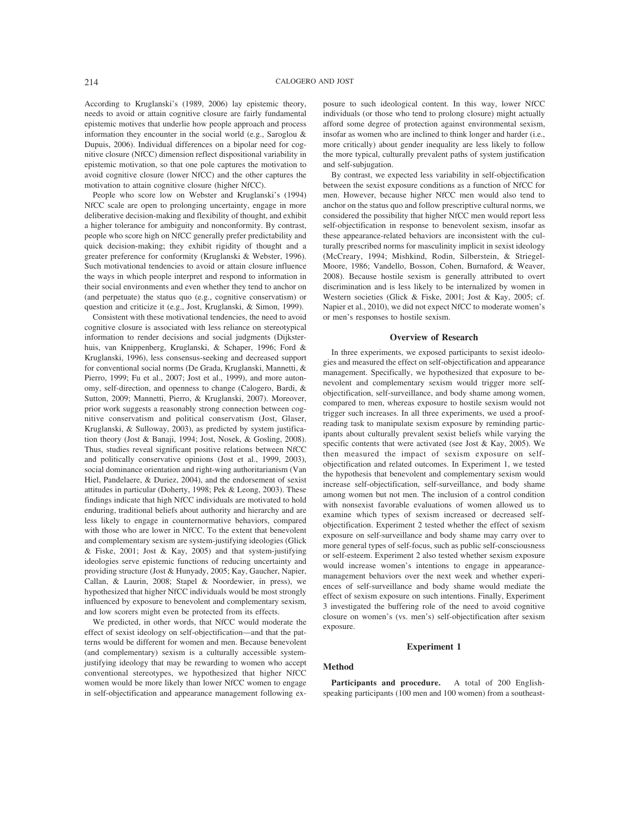According to Kruglanski's (1989, 2006) lay epistemic theory, needs to avoid or attain cognitive closure are fairly fundamental epistemic motives that underlie how people approach and process information they encounter in the social world (e.g., Saroglou & Dupuis, 2006). Individual differences on a bipolar need for cognitive closure (NfCC) dimension reflect dispositional variability in epistemic motivation, so that one pole captures the motivation to avoid cognitive closure (lower NfCC) and the other captures the motivation to attain cognitive closure (higher NfCC).

People who score low on Webster and Kruglanski's (1994) NfCC scale are open to prolonging uncertainty, engage in more deliberative decision-making and flexibility of thought, and exhibit a higher tolerance for ambiguity and nonconformity. By contrast, people who score high on NfCC generally prefer predictability and quick decision-making; they exhibit rigidity of thought and a greater preference for conformity (Kruglanski & Webster, 1996). Such motivational tendencies to avoid or attain closure influence the ways in which people interpret and respond to information in their social environments and even whether they tend to anchor on (and perpetuate) the status quo (e.g., cognitive conservatism) or question and criticize it (e.g., Jost, Kruglanski, & Simon, 1999).

Consistent with these motivational tendencies, the need to avoid cognitive closure is associated with less reliance on stereotypical information to render decisions and social judgments (Dijksterhuis, van Knippenberg, Kruglanski, & Schaper, 1996; Ford & Kruglanski, 1996), less consensus-seeking and decreased support for conventional social norms (De Grada, Kruglanski, Mannetti, & Pierro, 1999; Fu et al., 2007; Jost et al., 1999), and more autonomy, self-direction, and openness to change (Calogero, Bardi, & Sutton, 2009; Mannetti, Pierro, & Kruglanski, 2007). Moreover, prior work suggests a reasonably strong connection between cognitive conservatism and political conservatism (Jost, Glaser, Kruglanski, & Sulloway, 2003), as predicted by system justification theory (Jost & Banaji, 1994; Jost, Nosek, & Gosling, 2008). Thus, studies reveal significant positive relations between NfCC and politically conservative opinions (Jost et al., 1999, 2003), social dominance orientation and right-wing authoritarianism (Van Hiel, Pandelaere, & Duriez, 2004), and the endorsement of sexist attitudes in particular (Doherty, 1998; Pek & Leong, 2003). These findings indicate that high NfCC individuals are motivated to hold enduring, traditional beliefs about authority and hierarchy and are less likely to engage in counternormative behaviors, compared with those who are lower in NfCC. To the extent that benevolent and complementary sexism are system-justifying ideologies (Glick & Fiske, 2001; Jost & Kay, 2005) and that system-justifying ideologies serve epistemic functions of reducing uncertainty and providing structure (Jost & Hunyady, 2005; Kay, Gaucher, Napier, Callan, & Laurin, 2008; Stapel & Noordewier, in press), we hypothesized that higher NfCC individuals would be most strongly influenced by exposure to benevolent and complementary sexism, and low scorers might even be protected from its effects.

We predicted, in other words, that NfCC would moderate the effect of sexist ideology on self-objectification—and that the patterns would be different for women and men. Because benevolent (and complementary) sexism is a culturally accessible systemjustifying ideology that may be rewarding to women who accept conventional stereotypes, we hypothesized that higher NfCC women would be more likely than lower NfCC women to engage in self-objectification and appearance management following exposure to such ideological content. In this way, lower NfCC individuals (or those who tend to prolong closure) might actually afford some degree of protection against environmental sexism, insofar as women who are inclined to think longer and harder (i.e., more critically) about gender inequality are less likely to follow the more typical, culturally prevalent paths of system justification and self-subjugation.

By contrast, we expected less variability in self-objectification between the sexist exposure conditions as a function of NfCC for men. However, because higher NfCC men would also tend to anchor on the status quo and follow prescriptive cultural norms, we considered the possibility that higher NfCC men would report less self-objectification in response to benevolent sexism, insofar as these appearance-related behaviors are inconsistent with the culturally prescribed norms for masculinity implicit in sexist ideology (McCreary, 1994; Mishkind, Rodin, Silberstein, & Striegel-Moore, 1986; Vandello, Bosson, Cohen, Burnaford, & Weaver, 2008). Because hostile sexism is generally attributed to overt discrimination and is less likely to be internalized by women in Western societies (Glick & Fiske, 2001; Jost & Kay, 2005; cf. Napier et al., 2010), we did not expect NfCC to moderate women's or men's responses to hostile sexism.

#### **Overview of Research**

In three experiments, we exposed participants to sexist ideologies and measured the effect on self-objectification and appearance management. Specifically, we hypothesized that exposure to benevolent and complementary sexism would trigger more selfobjectification, self-surveillance, and body shame among women, compared to men, whereas exposure to hostile sexism would not trigger such increases. In all three experiments, we used a proofreading task to manipulate sexism exposure by reminding participants about culturally prevalent sexist beliefs while varying the specific contents that were activated (see Jost & Kay, 2005). We then measured the impact of sexism exposure on selfobjectification and related outcomes. In Experiment 1, we tested the hypothesis that benevolent and complementary sexism would increase self-objectification, self-surveillance, and body shame among women but not men. The inclusion of a control condition with nonsexist favorable evaluations of women allowed us to examine which types of sexism increased or decreased selfobjectification. Experiment 2 tested whether the effect of sexism exposure on self-surveillance and body shame may carry over to more general types of self-focus, such as public self-consciousness or self-esteem. Experiment 2 also tested whether sexism exposure would increase women's intentions to engage in appearancemanagement behaviors over the next week and whether experiences of self-surveillance and body shame would mediate the effect of sexism exposure on such intentions. Finally, Experiment 3 investigated the buffering role of the need to avoid cognitive closure on women's (vs. men's) self-objectification after sexism exposure.

#### **Experiment 1**

#### **Method**

**Participants and procedure.** A total of 200 Englishspeaking participants (100 men and 100 women) from a southeast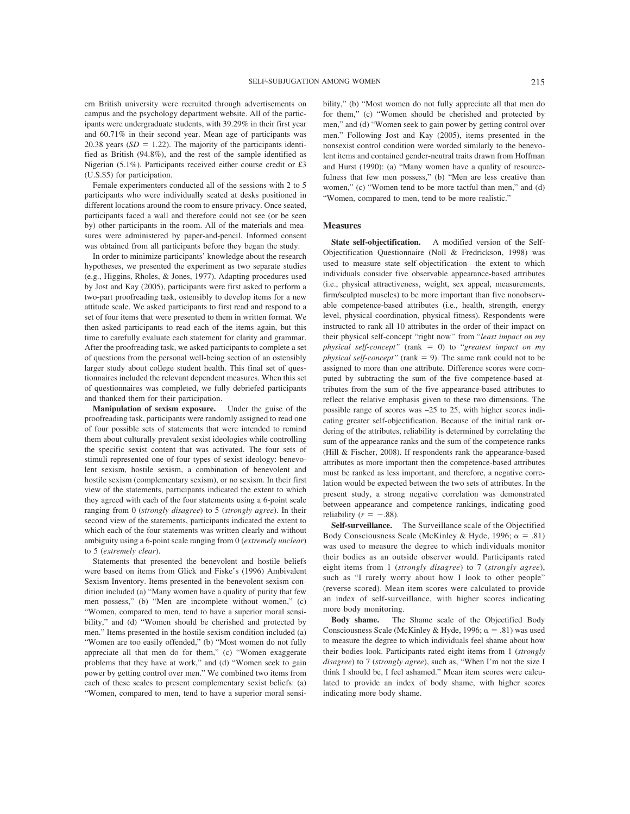ern British university were recruited through advertisements on campus and the psychology department website. All of the participants were undergraduate students, with 39.29% in their first year and 60.71% in their second year. Mean age of participants was 20.38 years  $(SD = 1.22)$ . The majority of the participants identified as British (94.8%), and the rest of the sample identified as Nigerian (5.1%). Participants received either course credit or £3 (U.S.\$5) for participation.

Female experimenters conducted all of the sessions with 2 to 5 participants who were individually seated at desks positioned in different locations around the room to ensure privacy. Once seated, participants faced a wall and therefore could not see (or be seen by) other participants in the room. All of the materials and measures were administered by paper-and-pencil. Informed consent was obtained from all participants before they began the study.

In order to minimize participants' knowledge about the research hypotheses, we presented the experiment as two separate studies (e.g., Higgins, Rholes, & Jones, 1977). Adapting procedures used by Jost and Kay (2005), participants were first asked to perform a two-part proofreading task, ostensibly to develop items for a new attitude scale. We asked participants to first read and respond to a set of four items that were presented to them in written format. We then asked participants to read each of the items again, but this time to carefully evaluate each statement for clarity and grammar. After the proofreading task, we asked participants to complete a set of questions from the personal well-being section of an ostensibly larger study about college student health. This final set of questionnaires included the relevant dependent measures. When this set of questionnaires was completed, we fully debriefed participants and thanked them for their participation.

**Manipulation of sexism exposure.** Under the guise of the proofreading task, participants were randomly assigned to read one of four possible sets of statements that were intended to remind them about culturally prevalent sexist ideologies while controlling the specific sexist content that was activated. The four sets of stimuli represented one of four types of sexist ideology: benevolent sexism, hostile sexism, a combination of benevolent and hostile sexism (complementary sexism), or no sexism. In their first view of the statements, participants indicated the extent to which they agreed with each of the four statements using a 6-point scale ranging from 0 (*strongly disagree*) to 5 (*strongly agree*). In their second view of the statements, participants indicated the extent to which each of the four statements was written clearly and without ambiguity using a 6-point scale ranging from 0 (*extremely unclear*) to 5 (*extremely clear*).

Statements that presented the benevolent and hostile beliefs were based on items from Glick and Fiske's (1996) Ambivalent Sexism Inventory. Items presented in the benevolent sexism condition included (a) "Many women have a quality of purity that few men possess," (b) "Men are incomplete without women," (c) "Women, compared to men, tend to have a superior moral sensibility," and (d) "Women should be cherished and protected by men." Items presented in the hostile sexism condition included (a) "Women are too easily offended," (b) "Most women do not fully appreciate all that men do for them," (c) "Women exaggerate problems that they have at work," and (d) "Women seek to gain power by getting control over men." We combined two items from each of these scales to present complementary sexist beliefs: (a) "Women, compared to men, tend to have a superior moral sensibility," (b) "Most women do not fully appreciate all that men do for them," (c) "Women should be cherished and protected by men," and (d) "Women seek to gain power by getting control over men." Following Jost and Kay (2005), items presented in the nonsexist control condition were worded similarly to the benevolent items and contained gender-neutral traits drawn from Hoffman and Hurst (1990): (a) "Many women have a quality of resourcefulness that few men possess," (b) "Men are less creative than women," (c) "Women tend to be more tactful than men," and (d) "Women, compared to men, tend to be more realistic."

#### **Measures**

**State self-objectification.** A modified version of the Self-Objectification Questionnaire (Noll & Fredrickson, 1998) was used to measure state self-objectification—the extent to which individuals consider five observable appearance-based attributes (i.e., physical attractiveness, weight, sex appeal, measurements, firm/sculpted muscles) to be more important than five nonobservable competence-based attributes (i.e., health, strength, energy level, physical coordination, physical fitness). Respondents were instructed to rank all 10 attributes in the order of their impact on their physical self-concept "right now*"* from "*least impact on my physical self-concept"* (rank ! 0) to "*greatest impact on my physical self-concept"* (rank  $= 9$ ). The same rank could not to be assigned to more than one attribute. Difference scores were computed by subtracting the sum of the five competence-based attributes from the sum of the five appearance-based attributes to reflect the relative emphasis given to these two dimensions. The possible range of scores was –25 to 25, with higher scores indicating greater self-objectification. Because of the initial rank ordering of the attributes, reliability is determined by correlating the sum of the appearance ranks and the sum of the competence ranks (Hill & Fischer, 2008). If respondents rank the appearance-based attributes as more important then the competence-based attributes must be ranked as less important, and therefore, a negative correlation would be expected between the two sets of attributes. In the present study, a strong negative correlation was demonstrated between appearance and competence rankings, indicating good reliability ( $r = -.88$ ).

**Self-surveillance.** The Surveillance scale of the Objectified Body Consciousness Scale (McKinley & Hyde, 1996;  $\alpha = .81$ ) was used to measure the degree to which individuals monitor their bodies as an outside observer would. Participants rated eight items from 1 (*strongly disagree*) to 7 (*strongly agree*), such as "I rarely worry about how I look to other people" (reverse scored). Mean item scores were calculated to provide an index of self-surveillance, with higher scores indicating more body monitoring.

**Body shame.** The Shame scale of the Objectified Body Consciousness Scale (McKinley & Hyde, 1996;  $\alpha = .81$ ) was used to measure the degree to which individuals feel shame about how their bodies look. Participants rated eight items from 1 (*strongly disagree*) to 7 (*strongly agree*), such as, "When I'm not the size I think I should be, I feel ashamed." Mean item scores were calculated to provide an index of body shame, with higher scores indicating more body shame.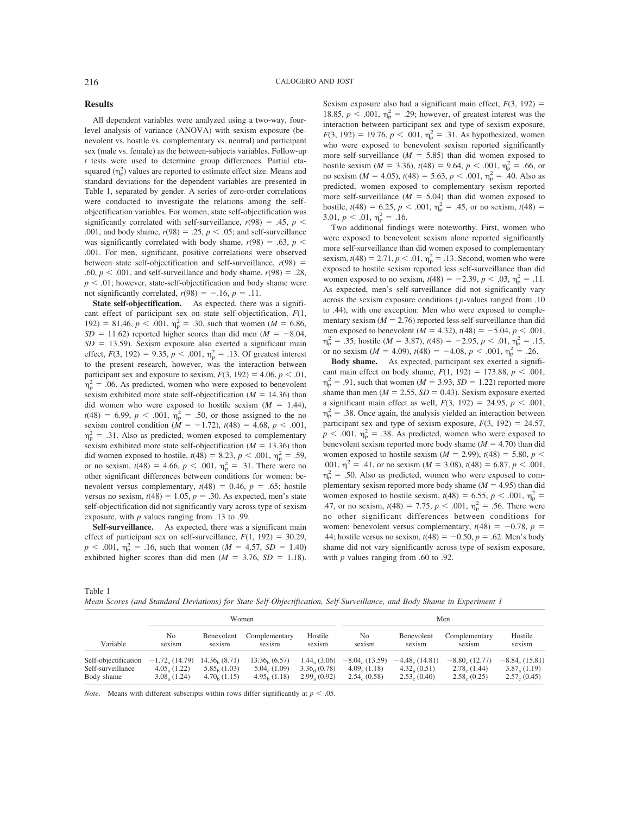#### **Results**

All dependent variables were analyzed using a two-way, fourlevel analysis of variance (ANOVA) with sexism exposure (benevolent vs. hostile vs. complementary vs. neutral) and participant sex (male vs. female) as the between-subjects variables. Follow-up *t* tests were used to determine group differences. Partial etasquared  $(\eta_p^2)$  values are reported to estimate effect size. Means and standard deviations for the dependent variables are presented in Table 1, separated by gender. A series of zero-order correlations were conducted to investigate the relations among the selfobjectification variables. For women, state self-objectification was significantly correlated with self-surveillance,  $r(98) = .45$ ,  $p <$ .001, and body shame,  $r(98) = .25$ ,  $p < .05$ ; and self-surveillance was significantly correlated with body shame,  $r(98) = .63$ ,  $p <$ .001. For men, significant, positive correlations were observed between state self-objectification and self-surveillance,  $r(98)$  = .60,  $p < .001$ , and self-surveillance and body shame,  $r(98) = .28$ ,  $p < .01$ ; however, state-self-objectification and body shame were not significantly correlated,  $r(98) = -.16$ ,  $p = .11$ .

**State self-objectification.** As expected, there was a significant effect of participant sex on state self-objectification, *F*(1, 192) = 81.46,  $p < .001$ ,  $\eta_p^2 = .30$ , such that women (*M* = 6.86,  $SD = 11.62$ ) reported higher scores than did men ( $M = -8.04$ ,  $SD = 13.59$ . Sexism exposure also exerted a significant main effect,  $F(3, 192) = 9.35, p < .001, \eta_p^2 = .13$ . Of greatest interest to the present research, however, was the interaction between participant sex and exposure to sexism,  $F(3, 192) = 4.06$ ,  $p < .01$ ,  $\eta_{\rm p}^2$  = .06. As predicted, women who were exposed to benevolent sexism exhibited more state self-objectification  $(M = 14.36)$  than did women who were exposed to hostile sexism  $(M = 1.44)$ ,  $t(48) = 6.99, p < .001, \bar{\eta}_{\rm p}^2 = .50$ , or those assigned to the no sexism control condition ( $\dot{M} = -1.72$ ),  $t(48) = 4.68$ ,  $p < .001$ ,  $\eta_{\rm p}^2 = .31$ . Also as predicted, women exposed to complementary sexism exhibited more state self-objectification ( $M = 13.36$ ) than did women exposed to hostile,  $t(48) = 8.23, p < .001, \eta_p^2 = .59,$ or no sexism,  $t(48) = 4.66$ ,  $p < .001$ ,  $\eta_p^2 = .31$ . There were no other significant differences between conditions for women: benevolent versus complementary,  $t(48) = 0.46$ ,  $p = .65$ ; hostile versus no sexism,  $t(48) = 1.05$ ,  $p = .30$ . As expected, men's state self-objectification did not significantly vary across type of sexism exposure, with *p* values ranging from .13 to .99.

Self-surveillance. As expected, there was a significant main effect of participant sex on self-surveillance,  $F(1, 192) = 30.29$ ,  $p < .001$ ,  $\eta_p^2 = .16$ , such that women (*M* = 4.57, *SD* = 1.40) exhibited higher scores than did men  $(M = 3.76, SD = 1.18)$ .

Sexism exposure also had a significant main effect,  $F(3, 192)$  = 18.85,  $p < .001$ ,  $\eta_p^2 = .29$ ; however, of greatest interest was the interaction between participant sex and type of sexism exposure,  $F(3, 192) = 19.76, p < .001, \eta_p^2 = .31$ . As hypothesized, women who were exposed to benevolent sexism reported significantly more self-surveillance  $(M = 5.85)$  than did women exposed to hostile sexism ( $M = 3.36$ ),  $t(48) = 9.64$ ,  $p < .001$ ,  $\eta_p^2 = .66$ , or no sexism ( $M = 4.05$ ),  $t(48) = 5.63$ ,  $p < .001$ ,  $\eta_p^2 = .40$ . Also as predicted, women exposed to complementary sexism reported more self-surveillance  $(M = 5.04)$  than did women exposed to hostile,  $t(48) = 6.25$ ,  $p < .001$ ,  $\eta_p^2 = .45$ , or no sexism,  $t(48) =$ 3.01,  $p < .01$ ,  $\eta_p^2 = .16$ .

Two additional findings were noteworthy. First, women who were exposed to benevolent sexism alone reported significantly more self-surveillance than did women exposed to complementary sexism,  $t(48) = 2.71$ ,  $p < .01$ ,  $\eta_p^2 = .13$ . Second, women who were exposed to hostile sexism reported less self-surveillance than did women exposed to no sexism,  $t(48) = -2.39$ ,  $p < .03$ ,  $\eta_p^2 = .11$ . As expected, men's self-surveillance did not significantly vary across the sexism exposure conditions ( *p*-values ranged from .10 to .44), with one exception: Men who were exposed to complementary sexism  $(M = 2.76)$  reported less self-surveillance than did men exposed to benevolent  $(M = 4.32)$ ,  $t(48) = -5.04$ ,  $p < .001$ ,  $m_p^2 = .35$ , hostile (*M* = 3.87),  $t(48) = -2.95, p < .01, \eta_p^2 = .15$ , or no sexism ( $M = 4.09$ ),  $t(48) = -4.08$ ,  $p < .001$ ,  $\eta_p^2 = .26$ .

**Body shame.** As expected, participant sex exerted a significant main effect on body shame,  $F(1, 192) = 173.88$ ,  $p < .001$ ,  $m_p^2 = .91$ , such that women ( $M = 3.93$ ,  $SD = 1.22$ ) reported more shame than men ( $M = 2.55$ ,  $SD = 0.43$ ). Sexism exposure exerted a significant main effect as well,  $F(3, 192) = 24.95$ ,  $p < .001$ ,  $\eta_{\rm p}^2$  = .38. Once again, the analysis yielded an interaction between participant sex and type of sexism exposure,  $F(3, 192) = 24.57$ ,  $p < .001$ ,  $\eta_p^2 = .38$ . As predicted, women who were exposed to benevolent sexism reported more body shame  $(M = 4.70)$  than did women exposed to hostile sexism ( $M = 2.99$ ),  $t(48) = 5.80$ ,  $p <$ .001,  $\eta^2 = .41$ , or no sexism (*M* = 3.08),  $t(48) = 6.87, p < .001$ ,  $\eta_{\rm p}^2$  = .50. Also as predicted, women who were exposed to complementary sexism reported more body shame ( $M = 4.95$ ) than did women exposed to hostile sexism,  $t(48) = 6.55$ ,  $p < .001$ ,  $\eta_p^2 =$ .47, or no sexism,  $t(48) = 7.75$ ,  $p < .001$ ,  $\eta_p^2 = .56$ . There were no other significant differences between conditions for women: benevolent versus complementary,  $t(48) = -0.78$ ,  $p =$ .44; hostile versus no sexism,  $t(48) = -0.50$ ,  $p = .62$ . Men's body shame did not vary significantly across type of sexism exposure, with *p* values ranging from .60 to .92.

Table 1 *Mean Scores (and Standard Deviations) for State Self-Objectification, Self-Surveillance, and Body Shame in Experiment 1*

|                      | Women           |                          |                           |                   | Men                   |                       |                       |                |  |
|----------------------|-----------------|--------------------------|---------------------------|-------------------|-----------------------|-----------------------|-----------------------|----------------|--|
| Variable             | No              | Benevolent               | Complementary             | Hostile           | No.                   | Benevolent            | Complementary         | Hostile        |  |
|                      | sexism          | sexism                   | sexism                    | sexism            | sexism                | sexism                | sexism                | sexism         |  |
| Self-objectification | $-1.72$ (14.79) | $14.36_k(8.71)$          | 13.36 <sub>b</sub> (6.57) | 1.44(3.06)        | $-8.04(13.59)$        | $-4.48(14.81)$        | $-8.80(12.77)$        | $-8.84(15.81)$ |  |
| Self-surveillance    | 4.05, (1.22)    | $5.85b$ (1.03)           | $5.04_{\circ}$ (1.09)     | $3.36_{4}$ (0.78) | 4.09(1.18)            | $4.32_{\circ} (0.51)$ | $2.78_{\circ}$ (1.44) | 3.87, (1.19)   |  |
| Body shame           | 3.08, (1.24)    | 4.70 <sub>b</sub> (1.15) | 4.95 <sub>b</sub> (1.18)  | 2.99, (0.92)      | $2.54_{\circ} (0.58)$ | 2.53(0.40)            | $2.58_c(0.25)$        | $2.57_c(0.45)$ |  |

*Note*. Means with different subscripts within rows differ significantly at  $p < .05$ .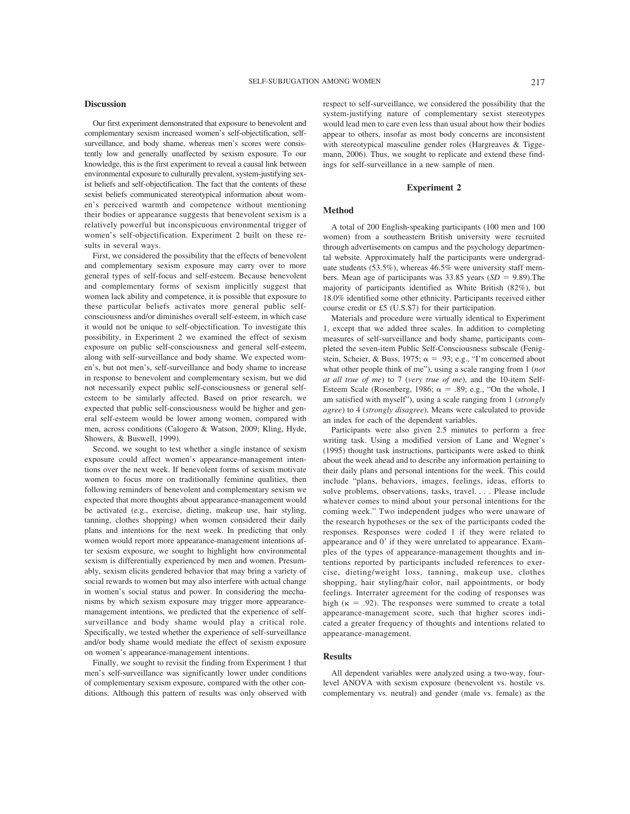#### **Discussion**

Our first experiment demonstrated that exposure to benevolent and complementary sexism increased women's self-objectification, selfsurveillance, and body shame, whereas men's scores were consistently low and generally unaffected by sexism exposure. To our knowledge, this is the first experiment to reveal a causal link between environmental exposure to culturally prevalent, system-justifying sexist beliefs and self-objectification. The fact that the contents of these sexist beliefs communicated stereotypical information about women's perceived warmth and competence without mentioning their bodies or appearance suggests that benevolent sexism is a relatively powerful but inconspicuous environmental trigger of women's self-objectification. Experiment 2 built on these results in several ways.

First, we considered the possibility that the effects of benevolent and complementary sexism exposure may carry over to more general types of self-focus and self-esteem. Because benevolent and complementary forms of sexism implicitly suggest that women lack ability and competence, it is possible that exposure to these particular beliefs activates more general public selfconsciousness and/or diminishes overall self-esteem, in which case it would not be unique to self-objectification. To investigate this possibility, in Experiment 2 we examined the effect of sexism exposure on public self-consciousness and general self-esteem, along with self-surveillance and body shame. We expected women's, but not men's, self-surveillance and body shame to increase in response to benevolent and complementary sexism, but we did not necessarily expect public self-consciousness or general selfesteem to be similarly affected. Based on prior research, we expected that public self-consciousness would be higher and general self-esteem would be lower among women, compared with men, across conditions (Calogero & Watson, 2009; Kling, Hyde, Showers, & Buswell, 1999).

Second, we sought to test whether a single instance of sexism exposure could affect women's appearance-management intentions over the next week. If benevolent forms of sexism motivate women to focus more on traditionally feminine qualities, then following reminders of benevolent and complementary sexism we expected that more thoughts about appearance-management would be activated (e.g., exercise, dieting, makeup use, hair styling, tanning, clothes shopping) when women considered their daily plans and intentions for the next week. In predicting that only women would report more appearance-management intentions after sexism exposure, we sought to highlight how environmental sexism is differentially experienced by men and women. Presumably, sexism elicits gendered behavior that may bring a variety of social rewards to women but may also interfere with actual change in women's social status and power. In considering the mechanisms by which sexism exposure may trigger more appearancemanagement intentions, we predicted that the experience of selfsurveillance and body shame would play a critical role. Specifically, we tested whether the experience of self-surveillance and/or body shame would mediate the effect of sexism exposure on women's appearance-management intentions.

Finally, we sought to revisit the finding from Experiment 1 that men's self-surveillance was significantly lower under conditions of complementary sexism exposure, compared with the other conditions. Although this pattern of results was only observed with respect to self-surveillance, we considered the possibility that the system-justifying nature of complementary sexist stereotypes would lead men to care even less than usual about how their bodies appear to others, insofar as most body concerns are inconsistent with stereotypical masculine gender roles (Hargreaves & Tiggemann, 2006). Thus, we sought to replicate and extend these findings for self-surveillance in a new sample of men.

#### **Experiment 2**

#### **Method**

A total of 200 English-speaking participants (100 men and 100 women) from a southeastern British university were recruited through advertisements on campus and the psychology departmental website. Approximately half the participants were undergraduate students (53.5%), whereas 46.5% were university staff members. Mean age of participants was  $33.85$  years  $(SD = 9.89)$ . The majority of participants identified as White British (82%), but 18.0% identified some other ethnicity. Participants received either course credit or £5 (U.S.\$7) for their participation.

Materials and procedure were virtually identical to Experiment 1, except that we added three scales. In addition to completing measures of self-surveillance and body shame, participants completed the seven-item Public Self-Consciousness subscale (Fenigstein, Scheier, & Buss, 1975;  $\alpha = .93$ ; e.g., "I'm concerned about what other people think of me"), using a scale ranging from 1 (*not at all true of me*) to 7 (*very true of me*), and the 10-item Self-Esteem Scale (Rosenberg, 1986;  $\alpha = .89$ ; e.g., "On the whole, I am satisfied with myself"), using a scale ranging from 1 (*strongly agree*) to 4 (*strongly disagree*). Means were calculated to provide an index for each of the dependent variables.

Participants were also given 2.5 minutes to perform a free writing task. Using a modified version of Lane and Wegner's (1995) thought task instructions, participants were asked to think about the week ahead and to describe any information pertaining to their daily plans and personal intentions for the week. This could include "plans, behaviors, images, feelings, ideas, efforts to solve problems, observations, tasks, travel. . . . Please include whatever comes to mind about your personal intentions for the coming week." Two independent judges who were unaware of the research hypotheses or the sex of the participants coded the responses. Responses were coded 1 if they were related to appearance and 0' if they were unrelated to appearance. Examples of the types of appearance-management thoughts and intentions reported by participants included references to exercise, dieting/weight loss, tanning, makeup use, clothes shopping, hair styling/hair color, nail appointments, or body feelings. Interrater agreement for the coding of responses was high ( $\kappa$  = .92). The responses were summed to create a total appearance-management score, such that higher scores indicated a greater frequency of thoughts and intentions related to appearance-management.

#### **Results**

All dependent variables were analyzed using a two-way, fourlevel ANOVA with sexism exposure (benevolent vs. hostile vs. complementary vs. neutral) and gender (male vs. female) as the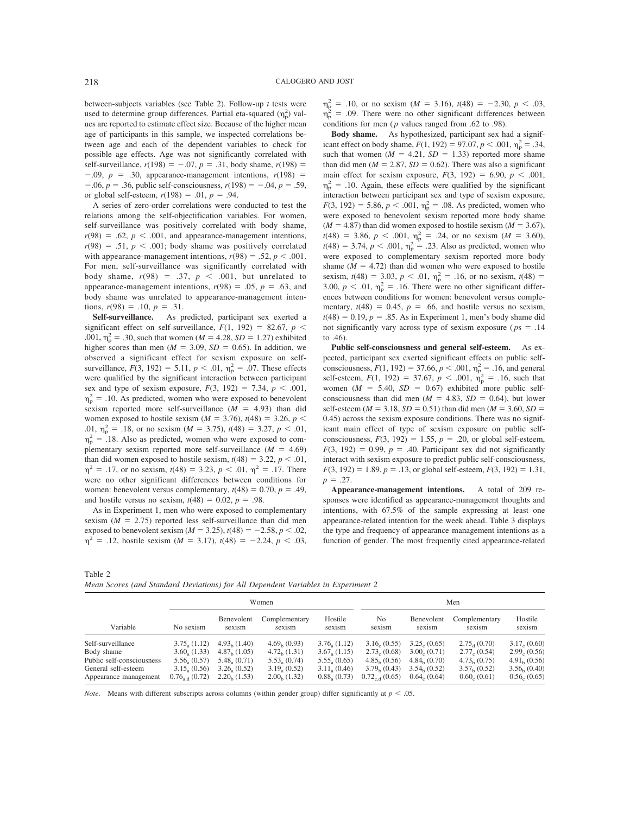between-subjects variables (see Table 2). Follow-up *t* tests were used to determine group differences. Partial eta-squared  $(\eta_{\rm p}^2)$  values are reported to estimate effect size. Because of the higher mean age of participants in this sample, we inspected correlations between age and each of the dependent variables to check for possible age effects. Age was not significantly correlated with self-surveillance,  $r(198) = -.07$ ,  $p = .31$ , body shame,  $r(198) =$  $-.09, p = .30, \text{ appearance-management intentions, } r(198) =$  $-0.06$ ,  $p = 0.36$ , public self-consciousness,  $r(198) = -0.04$ ,  $p = 0.59$ , or global self-esteem,  $r(198) = .01$ ,  $p = .94$ .

A series of zero-order correlations were conducted to test the relations among the self-objectification variables. For women, self-surveillance was positively correlated with body shame,  $r(98) = .62$ ,  $p < .001$ , and appearance-management intentions,  $r(98) = .51, p < .001$ ; body shame was positively correlated with appearance-management intentions,  $r(98) = .52$ ,  $p < .001$ . For men, self-surveillance was significantly correlated with body shame,  $r(98) = .37$ ,  $p < .001$ , but unrelated to appearance-management intentions,  $r(98) = .05$ ,  $p = .63$ , and body shame was unrelated to appearance-management intentions,  $r(98) = .10$ ,  $p = .31$ .

**Self-surveillance.** As predicted, participant sex exerted a significant effect on self-surveillance,  $F(1, 192) = 82.67$ ,  $p <$ .001,  $\eta_p^2 = .30$ , such that women (*M* = 4.28, *SD* = 1.27) exhibited higher scores than men ( $M = 3.09$ ,  $SD = 0.65$ ). In addition, we observed a significant effect for sexism exposure on selfsurveillance,  $F(3, 192) = 5.11, p < .01, \eta_{\rm p}^2 = .07$ . These effects were qualified by the significant interaction between participant sex and type of sexism exposure,  $F(3, 192) = 7.34$ ,  $p < .001$ ,  $\eta_{\rm p}^2$  = .10. As predicted, women who were exposed to benevolent sexism reported more self-surveillance  $(M = 4.93)$  than did women exposed to hostile sexism ( $M = 3.76$ ),  $t(48) = 3.26$ ,  $p <$ .01,  $\eta_p^2 = .18$ , or no sexism (*M* = 3.75),  $t(48) = 3.27, p < .01$ ,  $\eta_{\rm p}^2$  = .18. Also as predicted, women who were exposed to complementary sexism reported more self-surveillance  $(M = 4.69)$ than did women exposed to hostile sexism,  $t(48) = 3.22$ ,  $p < .01$ ,  $\eta^2 = .17$ , or no sexism,  $t(48) = 3.23$ ,  $p < .01$ ,  $\eta^2 = .17$ . There were no other significant differences between conditions for women: benevolent versus complementary,  $t(48) = 0.70$ ,  $p = .49$ , and hostile versus no sexism,  $t(48) = 0.02$ ,  $p = .98$ .

As in Experiment 1, men who were exposed to complementary sexism  $(M = 2.75)$  reported less self-surveillance than did men exposed to benevolent sexism ( $M = 3.25$ ),  $t(48) = -2.58$ ,  $p < .02$ ,  $\eta^2$  = .12, hostile sexism (*M* = 3.17),  $t(48)$  = -2.24,  $p < .03$ ,

 $\eta_{\rm p}^2$  = .10, or no sexism (*M* = 3.16),  $t(48) = -2.30, p < .03$ ,  $\eta_{\rm p}^2$  $=$  .09. There were no other significant differences between conditions for men ( $p$  values ranged from .62 to .98).

**Body shame.** As hypothesized, participant sex had a significant effect on body shame,  $F(1, 192) = 97.07, p < .001, \eta_p^2 = .34$ , such that women  $(M = 4.21, SD = 1.33)$  reported more shame than did men ( $M = 2.87$ ,  $SD = 0.62$ ). There was also a significant main effect for sexism exposure,  $F(3, 192) = 6.90, p < .001$ ,  $\eta_{\rm p}^2$  = .10. Again, these effects were qualified by the significant interaction between participant sex and type of sexism exposure,  $F(3, 192) = 5.86, p < .001, \eta_p^2 = .08$ . As predicted, women who were exposed to benevolent sexism reported more body shame  $(M = 4.87)$  than did women exposed to hostile sexism  $(M = 3.67)$ ,  $t(48) = 3.86, p < .001, \eta_p^2 = .24$ , or no sexism (*M* = 3.60),  $t(48) = 3.74, p < .001, \eta_p^2 = .23$ . Also as predicted, women who were exposed to complementary sexism reported more body shame  $(M = 4.72)$  than did women who were exposed to hostile sexism,  $t(48) = 3.03$ ,  $p < .01$ ,  $\eta_p^2 = .16$ , or no sexism,  $t(48) =$ 3.00,  $p < .01$ ,  $\eta_p^2 = .16$ . There were no other significant differences between conditions for women: benevolent versus complementary,  $t(48) = 0.45$ ,  $p = .66$ , and hostile versus no sexism,  $t(48) = 0.19$ ,  $p = .85$ . As in Experiment 1, men's body shame did not significantly vary across type of sexism exposure ( $p$ s  $=$  .14 to  $46$ 

**Public self-consciousness and general self-esteem.** As expected, participant sex exerted significant effects on public selfconsciousness,  $F(1, 192) = 37.66$ ,  $p < .001$ ,  $\eta_p^2 = .16$ , and general self-esteem,  $F(1, 192) = 37.67$ ,  $p < .001$ ,  $\eta_p^2 = .16$ , such that women  $(M = 5.40, SD = 0.67)$  exhibited more public selfconsciousness than did men ( $M = 4.83$ ,  $SD = 0.64$ ), but lower self-esteem ( $M = 3.18$ ,  $SD = 0.51$ ) than did men ( $M = 3.60$ ,  $SD =$ 0.45) across the sexism exposure conditions. There was no significant main effect of type of sexism exposure on public selfconsciousness,  $F(3, 192) = 1.55$ ,  $p = .20$ , or global self-esteem,  $F(3, 192) = 0.99$ ,  $p = .40$ . Participant sex did not significantly interact with sexism exposure to predict public self-consciousness,  $F(3, 192) = 1.89, p = .13$ , or global self-esteem,  $F(3, 192) = 1.31$ ,  $p = .27$ .

**Appearance-management intentions.** A total of 209 responses were identified as appearance-management thoughts and intentions, with 67.5% of the sample expressing at least one appearance-related intention for the week ahead. Table 3 displays the type and frequency of appearance-management intentions as a function of gender. The most frequently cited appearance-related

Table 2 *Mean Scores (and Standard Deviations) for All Dependent Variables in Experiment 2*

|                           | Women                  |                          |                          |                   | Men                      |                          |                          |                       |
|---------------------------|------------------------|--------------------------|--------------------------|-------------------|--------------------------|--------------------------|--------------------------|-----------------------|
| Variable                  | No sexism              | Benevolent<br>sexism     | Complementary<br>sexism  | Hostile<br>sexism | N0<br>sexism             | Benevolent<br>sexism     | Complementary<br>sexism  | Hostile<br>sexism     |
| Self-surveillance         | 3.75(1.12)             | $4.93k$ (1.40)           | 4.69 <sub>b</sub> (0.93) | 3.76(1.12)        | 3.16(0.55)               | 3.25(0.65)               | $2.75_{\rm d}$ (0.70)    | $3.17_{c} (0.60)$     |
| Body shame                | 3.60, (1.33)           | 4.87 <sub>b</sub> (1.05) | 4.72 <sub>b</sub> (1.31) | 3.67, (1.15)      | $2.73_{\circ}$ (0.68)    | 3.00(0.71)               | $2.77_{\circ} (0.54)$    | $2.99_{\circ}$ (0.56) |
| Public self-consciousness | 5.56(0.57)             | 5.48(0.71)               | 5.53(0.74)               | 5.55(0.65)        | $4.85_{h}$ (0.56)        | $4.84_{h}$ (0.70)        | 4.73 <sub>b</sub> (0.75) | $4.91b$ (0.56)        |
| General self-esteem       | 3.15, (0.56)           | 3.26, (0.52)             | 3.19, (0.52)             | 3.11, (0.46)      | 3.79 <sub>h</sub> (0.43) | 3.54 <sub>b</sub> (0.52) | 3.57 <sub>h</sub> (0.52) | $3.56b$ (0.40)        |
| Appearance management     | $0.76_{\rm ad}$ (0.72) | 2.20 <sub>b</sub> (1.53) | $2.00b$ (1.32)           | 0.88, (0.73)      | $0.72_{c,d} (0.65)$      | $0.64_{\circ}$ (0.64)    | 0.60(0.61)               | $0.56_c(0.65)$        |

*Note.* Means with different subscripts across columns (within gender group) differ significantly at  $p < .05$ .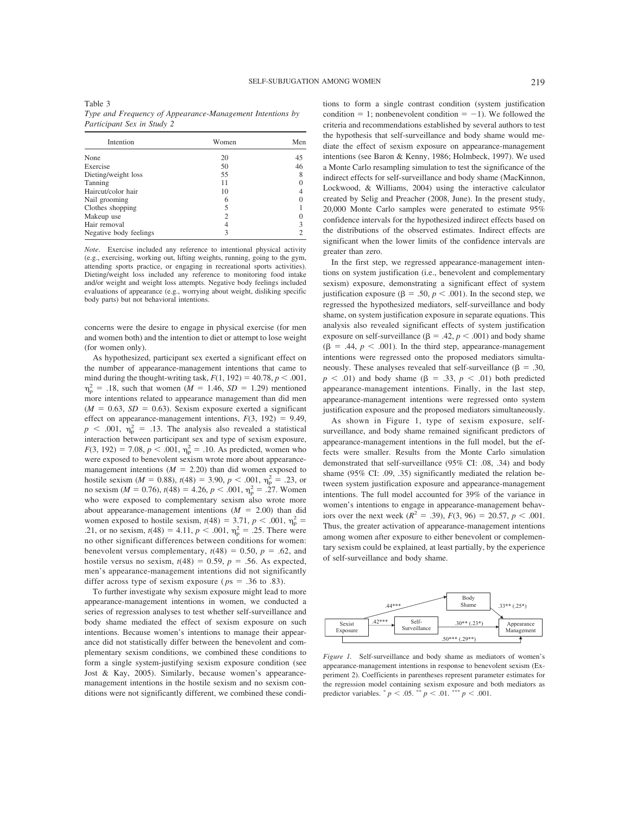Table 3 *Type and Frequency of Appearance-Management Intentions by Participant Sex in Study 2*

| Intention              | Women | Men |  |
|------------------------|-------|-----|--|
| None                   | 20    | 45  |  |
| Exercise               | 50    | 46  |  |
| Dieting/weight loss    | 55    | 8   |  |
| Tanning                | 11    |     |  |
| Haircut/color hair     | 10    |     |  |
| Nail grooming          | h     |     |  |
| Clothes shopping       |       |     |  |
| Makeup use             | 2     |     |  |
| Hair removal           |       |     |  |
| Negative body feelings | 3     |     |  |

*Note*. Exercise included any reference to intentional physical activity (e.g., exercising, working out, lifting weights, running, going to the gym, attending sports practice, or engaging in recreational sports activities). Dieting/weight loss included any reference to monitoring food intake and/or weight and weight loss attempts. Negative body feelings included evaluations of appearance (e.g., worrying about weight, disliking specific body parts) but not behavioral intentions.

concerns were the desire to engage in physical exercise (for men and women both) and the intention to diet or attempt to lose weight (for women only).

As hypothesized, participant sex exerted a significant effect on the number of appearance-management intentions that came to mind during the thought-writing task,  $F(1, 192) = 40.78$ ,  $p < .001$ ,  $m_{\rm p}^2$  = .18, such that women ( $M = 1.46$ ,  $SD = 1.29$ ) mentioned more intentions related to appearance management than did men  $(M = 0.63, SD = 0.63)$ . Sexism exposure exerted a significant effect on appearance-management intentions,  $F(3, 192) = 9.49$ ,  $p \, < \, .001, \, \eta_p^2 = .13.$  The analysis also revealed a statistical interaction between participant sex and type of sexism exposure,  $F(3, 192) = 7.08, p < .001, \eta_p^2 = .10$ . As predicted, women who were exposed to benevolent sexism wrote more about appearancemanagement intentions  $(M = 2.20)$  than did women exposed to hostile sexism ( $M = 0.88$ ),  $t(48) = 3.90, p < .001, \eta_{\rm p}^2 = .23$ , or no sexism ( $M = 0.76$ ),  $t(48) = 4.26$ ,  $p < .001$ ,  $\eta_p^2 = .27$ . Women who were exposed to complementary sexism also wrote more about appearance-management intentions  $(M = 2.00)$  than did women exposed to hostile sexism,  $t(48) = 3.71$ ,  $p < .001$ ,  $\eta_p^2 =$ .21, or no sexism,  $t(48) = 4.11$ ,  $p < .001$ ,  $\eta_p^2 = .25$ . There were no other significant differences between conditions for women: benevolent versus complementary,  $t(48) = 0.50$ ,  $p = .62$ , and hostile versus no sexism,  $t(48) = 0.59$ ,  $p = .56$ . As expected, men's appearance-management intentions did not significantly differ across type of sexism exposure ( $p$ s = .36 to .83).

To further investigate why sexism exposure might lead to more appearance-management intentions in women, we conducted a series of regression analyses to test whether self-surveillance and body shame mediated the effect of sexism exposure on such intentions. Because women's intentions to manage their appearance did not statistically differ between the benevolent and complementary sexism conditions, we combined these conditions to form a single system-justifying sexism exposure condition (see Jost & Kay, 2005). Similarly, because women's appearancemanagement intentions in the hostile sexism and no sexism conditions were not significantly different, we combined these conditions to form a single contrast condition (system justification condition  $= 1$ ; nonbenevolent condition  $= -1$ ). We followed the criteria and recommendations established by several authors to test the hypothesis that self-surveillance and body shame would mediate the effect of sexism exposure on appearance-management intentions (see Baron & Kenny, 1986; Holmbeck, 1997). We used a Monte Carlo resampling simulation to test the significance of the indirect effects for self-surveillance and body shame (MacKinnon, Lockwood, & Williams, 2004) using the interactive calculator created by Selig and Preacher (2008, June). In the present study, 20,000 Monte Carlo samples were generated to estimate 95% confidence intervals for the hypothesized indirect effects based on the distributions of the observed estimates. Indirect effects are significant when the lower limits of the confidence intervals are greater than zero.

In the first step, we regressed appearance-management intentions on system justification (i.e., benevolent and complementary sexism) exposure, demonstrating a significant effect of system justification exposure ( $\beta = .50, p < .001$ ). In the second step, we regressed the hypothesized mediators, self-surveillance and body shame, on system justification exposure in separate equations. This analysis also revealed significant effects of system justification exposure on self-surveillance ( $\beta = .42$ ,  $p < .001$ ) and body shame  $(\beta = .44, p < .001)$ . In the third step, appearance-management intentions were regressed onto the proposed mediators simultaneously. These analyses revealed that self-surveillance ( $\beta = .30$ ,  $p$  < .01) and body shame ( $\beta$  = .33,  $p$  < .01) both predicted appearance-management intentions. Finally, in the last step, appearance-management intentions were regressed onto system justification exposure and the proposed mediators simultaneously.

As shown in Figure 1, type of sexism exposure, selfsurveillance, and body shame remained significant predictors of appearance-management intentions in the full model, but the effects were smaller. Results from the Monte Carlo simulation demonstrated that self-surveillance (95% CI: .08, .34) and body shame (95% CI: .09, .35) significantly mediated the relation between system justification exposure and appearance-management intentions. The full model accounted for 39% of the variance in women's intentions to engage in appearance-management behaviors over the next week  $(R^2 = .39)$ ,  $F(3, 96) = 20.57$ ,  $p < .001$ . Thus, the greater activation of appearance-management intentions among women after exposure to either benevolent or complementary sexism could be explained, at least partially, by the experience of self-surveillance and body shame.



*Figure 1.* Self-surveillance and body shame as mediators of women's appearance-management intentions in response to benevolent sexism (Experiment 2). Coefficients in parentheses represent parameter estimates for the regression model containing sexism exposure and both mediators as predictor variables.  $p < .05$ .  $^{**} p < .01$ .  $^{***} p < .001$ .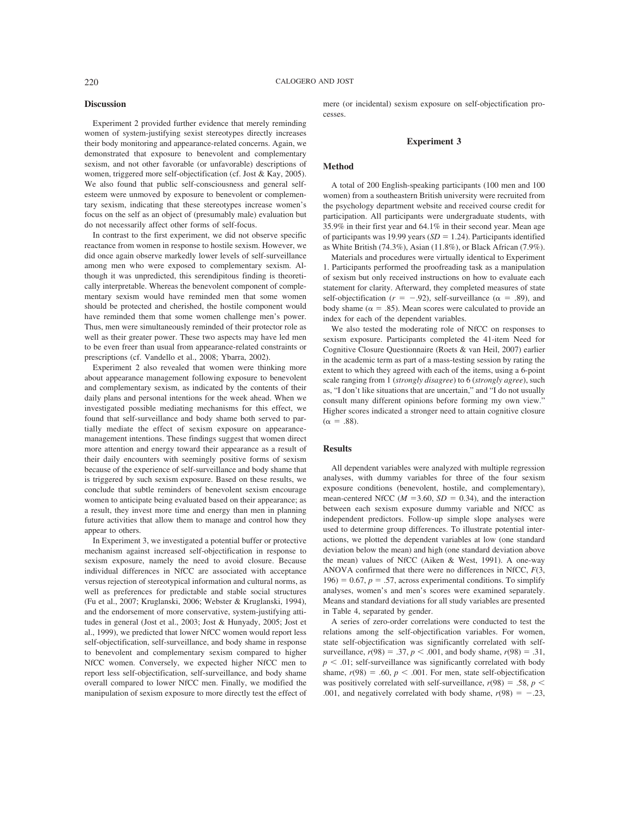#### **Discussion**

Experiment 2 provided further evidence that merely reminding women of system-justifying sexist stereotypes directly increases their body monitoring and appearance-related concerns. Again, we demonstrated that exposure to benevolent and complementary sexism, and not other favorable (or unfavorable) descriptions of women, triggered more self-objectification (cf. Jost & Kay, 2005). We also found that public self-consciousness and general selfesteem were unmoved by exposure to benevolent or complementary sexism, indicating that these stereotypes increase women's focus on the self as an object of (presumably male) evaluation but do not necessarily affect other forms of self-focus.

In contrast to the first experiment, we did not observe specific reactance from women in response to hostile sexism. However, we did once again observe markedly lower levels of self-surveillance among men who were exposed to complementary sexism. Although it was unpredicted, this serendipitous finding is theoretically interpretable. Whereas the benevolent component of complementary sexism would have reminded men that some women should be protected and cherished, the hostile component would have reminded them that some women challenge men's power. Thus, men were simultaneously reminded of their protector role as well as their greater power. These two aspects may have led men to be even freer than usual from appearance-related constraints or prescriptions (cf. Vandello et al., 2008; Ybarra, 2002).

Experiment 2 also revealed that women were thinking more about appearance management following exposure to benevolent and complementary sexism, as indicated by the contents of their daily plans and personal intentions for the week ahead. When we investigated possible mediating mechanisms for this effect, we found that self-surveillance and body shame both served to partially mediate the effect of sexism exposure on appearancemanagement intentions. These findings suggest that women direct more attention and energy toward their appearance as a result of their daily encounters with seemingly positive forms of sexism because of the experience of self-surveillance and body shame that is triggered by such sexism exposure. Based on these results, we conclude that subtle reminders of benevolent sexism encourage women to anticipate being evaluated based on their appearance; as a result, they invest more time and energy than men in planning future activities that allow them to manage and control how they appear to others.

In Experiment 3, we investigated a potential buffer or protective mechanism against increased self-objectification in response to sexism exposure, namely the need to avoid closure. Because individual differences in NfCC are associated with acceptance versus rejection of stereotypical information and cultural norms, as well as preferences for predictable and stable social structures (Fu et al., 2007; Kruglanski, 2006; Webster & Kruglanski, 1994), and the endorsement of more conservative, system-justifying attitudes in general (Jost et al., 2003; Jost & Hunyady, 2005; Jost et al., 1999), we predicted that lower NfCC women would report less self-objectification, self-surveillance, and body shame in response to benevolent and complementary sexism compared to higher NfCC women. Conversely, we expected higher NfCC men to report less self-objectification, self-surveillance, and body shame overall compared to lower NfCC men. Finally, we modified the manipulation of sexism exposure to more directly test the effect of

mere (or incidental) sexism exposure on self-objectification processes.

#### **Experiment 3**

#### **Method**

A total of 200 English-speaking participants (100 men and 100 women) from a southeastern British university were recruited from the psychology department website and received course credit for participation. All participants were undergraduate students, with 35.9% in their first year and 64.1% in their second year. Mean age of participants was 19.99 years  $(SD = 1.24)$ . Participants identified as White British (74.3%), Asian (11.8%), or Black African (7.9%).

Materials and procedures were virtually identical to Experiment 1. Participants performed the proofreading task as a manipulation of sexism but only received instructions on how to evaluate each statement for clarity. Afterward, they completed measures of state self-objectification ( $r = -.92$ ), self-surveillance ( $\alpha = .89$ ), and body shame ( $\alpha = .85$ ). Mean scores were calculated to provide an index for each of the dependent variables.

We also tested the moderating role of NfCC on responses to sexism exposure. Participants completed the 41-item Need for Cognitive Closure Questionnaire (Roets & van Heil, 2007) earlier in the academic term as part of a mass-testing session by rating the extent to which they agreed with each of the items, using a 6-point scale ranging from 1 (*strongly disagree*) to 6 (*strongly agree*), such as, "I don't like situations that are uncertain," and "I do not usually consult many different opinions before forming my own view." Higher scores indicated a stronger need to attain cognitive closure  $(\alpha = .88)$ .

#### **Results**

All dependent variables were analyzed with multiple regression analyses, with dummy variables for three of the four sexism exposure conditions (benevolent, hostile, and complementary), mean-centered NfCC ( $M = 3.60$ ,  $SD = 0.34$ ), and the interaction between each sexism exposure dummy variable and NfCC as independent predictors. Follow-up simple slope analyses were used to determine group differences. To illustrate potential interactions, we plotted the dependent variables at low (one standard deviation below the mean) and high (one standard deviation above the mean) values of NfCC (Aiken & West, 1991). A one-way ANOVA confirmed that there were no differences in NfCC, *F*(3,  $196$ ) = 0.67,  $p = .57$ , across experimental conditions. To simplify analyses, women's and men's scores were examined separately. Means and standard deviations for all study variables are presented in Table 4, separated by gender.

A series of zero-order correlations were conducted to test the relations among the self-objectification variables. For women, state self-objectification was significantly correlated with selfsurveillance,  $r(98) = .37$ ,  $p < .001$ , and body shame,  $r(98) = .31$ ,  $p < .01$ ; self-surveillance was significantly correlated with body shame,  $r(98) = .60$ ,  $p < .001$ . For men, state self-objectification was positively correlated with self-surveillance,  $r(98) = .58$ ,  $p <$ .001, and negatively correlated with body shame,  $r(98) = -.23$ ,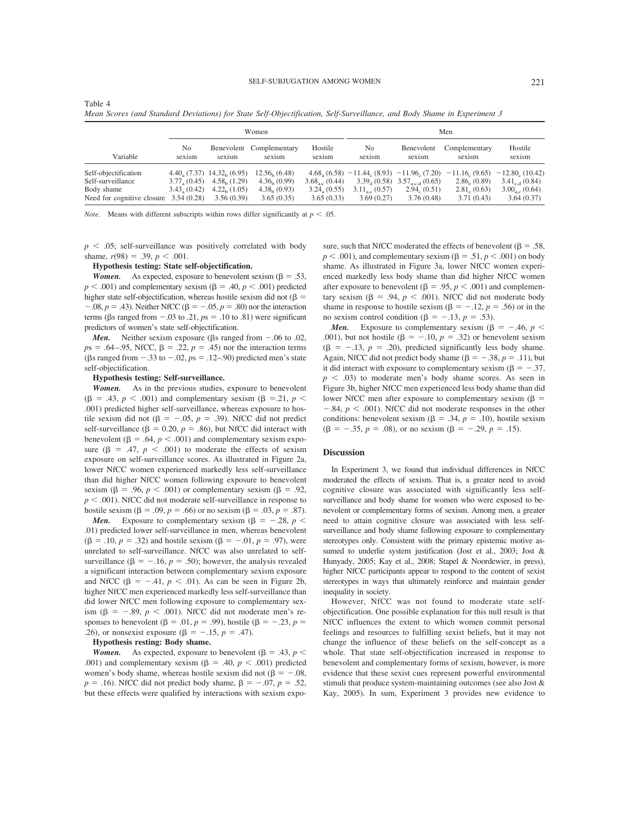|                                                       | Women                    |                                                |                                                       |                                     | Men                                   |                                                       |                                                                                                                                                 |                                        |
|-------------------------------------------------------|--------------------------|------------------------------------------------|-------------------------------------------------------|-------------------------------------|---------------------------------------|-------------------------------------------------------|-------------------------------------------------------------------------------------------------------------------------------------------------|----------------------------------------|
| Variable                                              | N <sub>o</sub><br>sexism | sexism                                         | Benevolent Complementary<br>sexism                    | Hostile<br>sexism                   | N <sub>o</sub><br>sexism              | Benevolent<br>sexism                                  | Complementary<br>sexism                                                                                                                         | Hostile<br>sexism                      |
| Self-objectification<br>Self-surveillance             | $3.77_{\circ}$ (0.45)    | 4.40 $(7.37)$ 14.32 $(6.95)$<br>$4.58k$ (1.29) | 12.56 <sub>b</sub> (6.48)<br>4.36 <sub>b</sub> (0.99) | $3.68_{\circ}$ (0.44)               |                                       | 3.39 <sub>d</sub> (0.58) 3.57 <sub>a.c.d</sub> (0.65) | $4.68_{\circ}$ (6.58) $-11.44_{\circ}$ (8.93) $-11.96_{\circ}$ (7.20) $-11.16_{\circ}$ (9.65) $-12.80_{\circ}$ (10.42)<br>$2.86_{\circ}$ (0.89) | $3.41_{c,d}$ (0.84)                    |
| Body shame<br>Need for cognitive closure $3.54(0.28)$ | 3.43, (0.42)             | $4.22b$ (1.05)<br>3.56(0.39)                   | 4.38 <sub>b</sub> (0.93)<br>3.65(0.35)                | $3.24_{\circ} (0.55)$<br>3.65(0.33) | $3.11_{\rm{a.c}}(0.57)$<br>3.69(0.27) | $2.94_{\circ} (0.51)$<br>3.76(0.48)                   | $2.81_c(0.63)$<br>3.71(0.43)                                                                                                                    | $3.00_{\rm a.c.}$ (0.64)<br>3.64(0.37) |

Table 4 *Mean Scores (and Standard Deviations) for State Self-Objectification, Self-Surveillance, and Body Shame in Experiment 3*

*Note*. Means with different subscripts within rows differ significantly at  $p < .05$ .

 $p \leq 0.05$ ; self-surveillance was positively correlated with body shame,  $r(98) = .39$ ,  $p < .001$ .

#### **Hypothesis testing: State self-objectification.**

*Women.* As expected, exposure to benevolent sexism ( $\beta = .53$ ,  $p < .001$ ) and complementary sexism ( $\beta = .40, p < .001$ ) predicted higher state self-objectification, whereas hostile sexism did not ( $\beta$  =  $-0.08$ ,  $p = .43$ ). Neither NfCC ( $\beta = -.05$ ,  $p = .80$ ) nor the interaction terms ( $\beta$ s ranged from  $-.03$  to .21,  $ps = .10$  to .81) were significant predictors of women's state self-objectification.

**Men.** Neither sexism exposure ( $\beta$ s ranged from  $-.06$  to .02,  $p_s = .64 - .95$ , NfCC,  $\beta = .22$ ,  $p = .45$ ) nor the interaction terms ( $\beta$ s ranged from  $-.33$  to  $-.02$ ,  $p_s = .12-.90$ ) predicted men's state self-objectification.

#### **Hypothesis testing: Self-surveillance.**

*Women.* As in the previous studies, exposure to benevolent  $(\beta = .43, p < .001)$  and complementary sexism  $(\beta = .21, p < .001)$ .001) predicted higher self-surveillance, whereas exposure to hostile sexism did not ( $\beta$  = -.05, *p* = .39). NfCC did not predict self-surveillance ( $\beta = 0.20$ ,  $p = .86$ ), but NfCC did interact with benevolent ( $\beta = .64$ ,  $p < .001$ ) and complementary sexism exposure  $(\beta = .47, p < .001)$  to moderate the effects of sexism exposure on self-surveillance scores. As illustrated in Figure 2a, lower NfCC women experienced markedly less self-surveillance than did higher NfCC women following exposure to benevolent sexism ( $\beta$  = .96,  $p < .001$ ) or complementary sexism ( $\beta$  = .92,  $p < .001$ ). NfCC did not moderate self-surveillance in response to hostile sexism ( $\beta$  = .09,  $p$  = .66) or no sexism ( $\beta$  = .03,  $p$  = .87).

*Men.* Exposure to complementary sexism ( $\beta = -.28, p <$ .01) predicted lower self-surveillance in men, whereas benevolent  $(\beta = .10, p = .32)$  and hostile sexism  $(\beta = -.01, p = .97)$ , were unrelated to self-surveillance. NfCC was also unrelated to selfsurveillance ( $\beta$  = -.16, *p* = .50); however, the analysis revealed a significant interaction between complementary sexism exposure and NfCC ( $\beta$  = -.41,  $p$  < .01). As can be seen in Figure 2b, higher NfCC men experienced markedly less self-surveillance than did lower NfCC men following exposure to complementary sexism ( $\beta$  = -.89,  $p$  < .001). NfCC did not moderate men's responses to benevolent ( $\beta = .01, p = .99$ ), hostile ( $\beta = -.23, p =$ .26), or nonsexist exposure ( $\beta = -.15, p = .47$ ).

#### **Hypothesis resting: Body shame.**

*Women.* As expected, exposure to benevolent ( $\beta = .43$ ,  $p <$ .001) and complementary sexism ( $\beta$  = .40,  $p$  < .001) predicted women's body shame, whereas hostile sexism did not ( $\beta = -.08$ ,  $p = .16$ ). NfCC did not predict body shame,  $\beta = -.07$ ,  $p = .52$ , but these effects were qualified by interactions with sexism expo-

sure, such that NfCC moderated the effects of benevolent ( $\beta = .58$ ,  $p < .001$ ), and complementary sexism ( $\beta = .51$ ,  $p < .001$ ) on body shame. As illustrated in Figure 3a, lower NfCC women experienced markedly less body shame than did higher NfCC women after exposure to benevolent ( $\beta = .95$ ,  $p < .001$ ) and complementary sexism ( $\beta$  = .94,  $p$  < .001). NfCC did not moderate body shame in response to hostile sexism ( $\beta = -.12$ ,  $p = .56$ ) or in the no sexism control condition ( $\beta$  = -.13, *p* = .53).

*Men.* Exposure to complementary sexism ( $\beta$  = -.46,  $p$  < .001), but not hostile ( $\beta$  = -.10, *p* = .32) or benevolent sexism  $(\beta = -.13, p = .20)$ , predicted significantly less body shame. Again, NfCC did not predict body shame  $(\beta = -.38, p = .11)$ , but it did interact with exposure to complementary sexism ( $\beta = -.37$ ,  $p \leq .03$ ) to moderate men's body shame scores. As seen in Figure 3b, higher NfCC men experienced less body shame than did lower NfCC men after exposure to complementary sexism ( $\beta$  =  $-.84, p \le .001$ ). NfCC did not moderate responses in the other conditions: benevolent sexism ( $\beta$  = .34,  $p$  = .10), hostile sexism  $(\beta = -.35, p = .08)$ , or no sexism  $(\beta = -.29, p = .15)$ .

#### **Discussion**

In Experiment 3, we found that individual differences in NfCC moderated the effects of sexism. That is, a greater need to avoid cognitive closure was associated with significantly less selfsurveillance and body shame for women who were exposed to benevolent or complementary forms of sexism. Among men, a greater need to attain cognitive closure was associated with less selfsurveillance and body shame following exposure to complementary stereotypes only. Consistent with the primary epistemic motive assumed to underlie system justification (Jost et al., 2003; Jost & Hunyady, 2005; Kay et al., 2008; Stapel & Noordewier, in press), higher NfCC participants appear to respond to the content of sexist stereotypes in ways that ultimately reinforce and maintain gender inequality in society.

However, NfCC was not found to moderate state selfobjectification. One possible explanation for this null result is that NfCC influences the extent to which women commit personal feelings and resources to fulfilling sexist beliefs, but it may not change the influence of these beliefs on the self-concept as a whole. That state self-objectification increased in response to benevolent and complementary forms of sexism, however, is more evidence that these sexist cues represent powerful environmental stimuli that produce system-maintaining outcomes (see also Jost & Kay, 2005). In sum, Experiment 3 provides new evidence to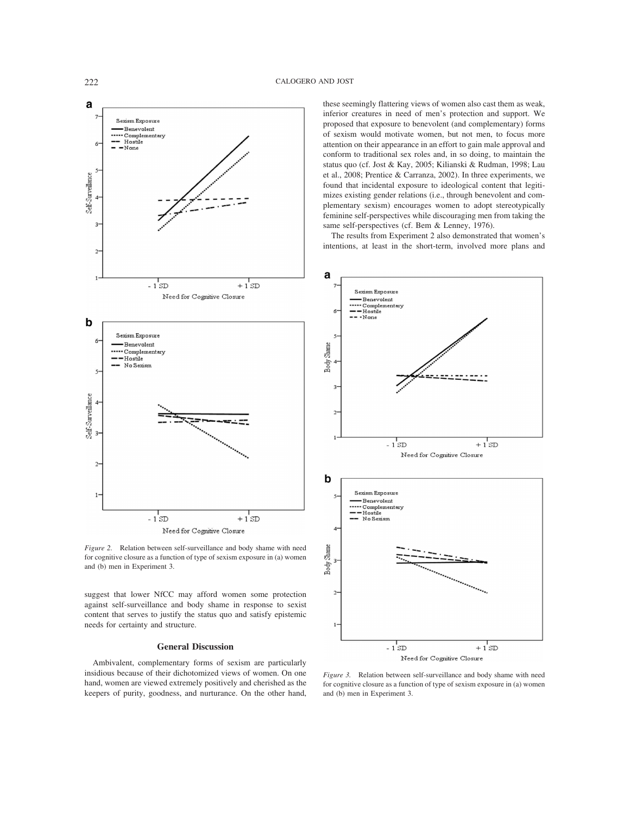

*Figure 2.* Relation between self-surveillance and body shame with need for cognitive closure as a function of type of sexism exposure in (a) women and (b) men in Experiment 3.

suggest that lower NfCC may afford women some protection against self-surveillance and body shame in response to sexist content that serves to justify the status quo and satisfy epistemic needs for certainty and structure.

#### **General Discussion**

Ambivalent, complementary forms of sexism are particularly insidious because of their dichotomized views of women. On one hand, women are viewed extremely positively and cherished as the keepers of purity, goodness, and nurturance. On the other hand, these seemingly flattering views of women also cast them as weak, inferior creatures in need of men's protection and support. We proposed that exposure to benevolent (and complementary) forms of sexism would motivate women, but not men, to focus more attention on their appearance in an effort to gain male approval and conform to traditional sex roles and, in so doing, to maintain the status quo (cf. Jost & Kay, 2005; Kilianski & Rudman, 1998; Lau et al., 2008; Prentice & Carranza, 2002). In three experiments, we found that incidental exposure to ideological content that legitimizes existing gender relations (i.e., through benevolent and complementary sexism) encourages women to adopt stereotypically feminine self-perspectives while discouraging men from taking the same self-perspectives (cf. Bem & Lenney, 1976).

The results from Experiment 2 also demonstrated that women's intentions, at least in the short-term, involved more plans and



*Figure 3.* Relation between self-surveillance and body shame with need for cognitive closure as a function of type of sexism exposure in (a) women and (b) men in Experiment 3.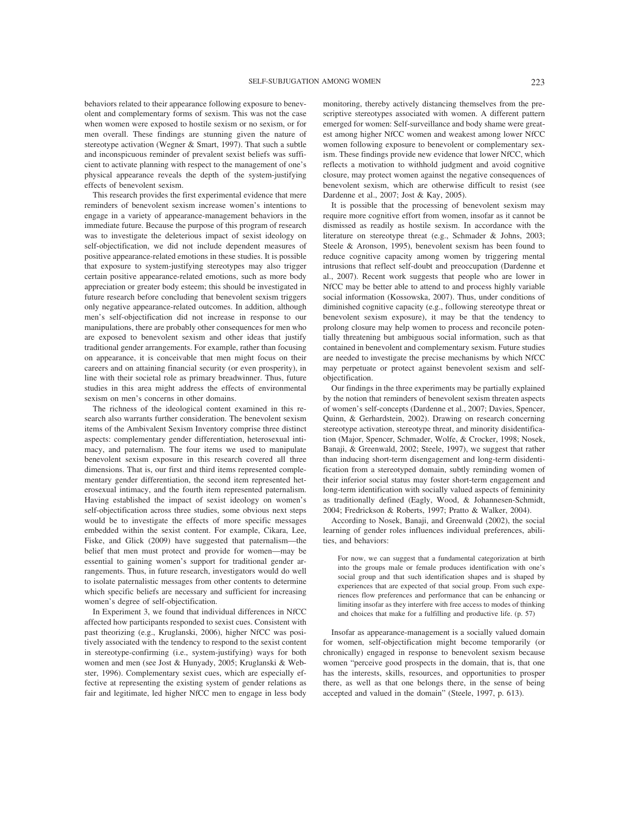behaviors related to their appearance following exposure to benevolent and complementary forms of sexism. This was not the case when women were exposed to hostile sexism or no sexism, or for men overall. These findings are stunning given the nature of stereotype activation (Wegner & Smart, 1997). That such a subtle and inconspicuous reminder of prevalent sexist beliefs was sufficient to activate planning with respect to the management of one's physical appearance reveals the depth of the system-justifying effects of benevolent sexism.

This research provides the first experimental evidence that mere reminders of benevolent sexism increase women's intentions to engage in a variety of appearance-management behaviors in the immediate future. Because the purpose of this program of research was to investigate the deleterious impact of sexist ideology on self-objectification, we did not include dependent measures of positive appearance-related emotions in these studies. It is possible that exposure to system-justifying stereotypes may also trigger certain positive appearance-related emotions, such as more body appreciation or greater body esteem; this should be investigated in future research before concluding that benevolent sexism triggers only negative appearance-related outcomes. In addition, although men's self-objectification did not increase in response to our manipulations, there are probably other consequences for men who are exposed to benevolent sexism and other ideas that justify traditional gender arrangements. For example, rather than focusing on appearance, it is conceivable that men might focus on their careers and on attaining financial security (or even prosperity), in line with their societal role as primary breadwinner. Thus, future studies in this area might address the effects of environmental sexism on men's concerns in other domains.

The richness of the ideological content examined in this research also warrants further consideration. The benevolent sexism items of the Ambivalent Sexism Inventory comprise three distinct aspects: complementary gender differentiation, heterosexual intimacy, and paternalism. The four items we used to manipulate benevolent sexism exposure in this research covered all three dimensions. That is, our first and third items represented complementary gender differentiation, the second item represented heterosexual intimacy, and the fourth item represented paternalism. Having established the impact of sexist ideology on women's self-objectification across three studies, some obvious next steps would be to investigate the effects of more specific messages embedded within the sexist content. For example, Cikara, Lee, Fiske, and Glick (2009) have suggested that paternalism—the belief that men must protect and provide for women—may be essential to gaining women's support for traditional gender arrangements. Thus, in future research, investigators would do well to isolate paternalistic messages from other contents to determine which specific beliefs are necessary and sufficient for increasing women's degree of self-objectification.

In Experiment 3, we found that individual differences in NfCC affected how participants responded to sexist cues. Consistent with past theorizing (e.g., Kruglanski, 2006), higher NfCC was positively associated with the tendency to respond to the sexist content in stereotype-confirming (i.e., system-justifying) ways for both women and men (see Jost & Hunyady, 2005; Kruglanski & Webster, 1996). Complementary sexist cues, which are especially effective at representing the existing system of gender relations as fair and legitimate, led higher NfCC men to engage in less body

monitoring, thereby actively distancing themselves from the prescriptive stereotypes associated with women. A different pattern emerged for women: Self-surveillance and body shame were greatest among higher NfCC women and weakest among lower NfCC women following exposure to benevolent or complementary sexism. These findings provide new evidence that lower NfCC, which reflects a motivation to withhold judgment and avoid cognitive closure, may protect women against the negative consequences of benevolent sexism, which are otherwise difficult to resist (see Dardenne et al., 2007; Jost & Kay, 2005).

It is possible that the processing of benevolent sexism may require more cognitive effort from women, insofar as it cannot be dismissed as readily as hostile sexism. In accordance with the literature on stereotype threat (e.g., Schmader & Johns, 2003; Steele & Aronson, 1995), benevolent sexism has been found to reduce cognitive capacity among women by triggering mental intrusions that reflect self-doubt and preoccupation (Dardenne et al., 2007). Recent work suggests that people who are lower in NfCC may be better able to attend to and process highly variable social information (Kossowska, 2007). Thus, under conditions of diminished cognitive capacity (e.g., following stereotype threat or benevolent sexism exposure), it may be that the tendency to prolong closure may help women to process and reconcile potentially threatening but ambiguous social information, such as that contained in benevolent and complementary sexism. Future studies are needed to investigate the precise mechanisms by which NfCC may perpetuate or protect against benevolent sexism and selfobjectification.

Our findings in the three experiments may be partially explained by the notion that reminders of benevolent sexism threaten aspects of women's self-concepts (Dardenne et al., 2007; Davies, Spencer, Quinn, & Gerhardstein, 2002). Drawing on research concerning stereotype activation, stereotype threat, and minority disidentification (Major, Spencer, Schmader, Wolfe, & Crocker, 1998; Nosek, Banaji, & Greenwald, 2002; Steele, 1997), we suggest that rather than inducing short-term disengagement and long-term disidentification from a stereotyped domain, subtly reminding women of their inferior social status may foster short-term engagement and long-term identification with socially valued aspects of femininity as traditionally defined (Eagly, Wood, & Johannesen-Schmidt, 2004; Fredrickson & Roberts, 1997; Pratto & Walker, 2004).

According to Nosek, Banaji, and Greenwald (2002), the social learning of gender roles influences individual preferences, abilities, and behaviors:

For now, we can suggest that a fundamental categorization at birth into the groups male or female produces identification with one's social group and that such identification shapes and is shaped by experiences that are expected of that social group. From such experiences flow preferences and performance that can be enhancing or limiting insofar as they interfere with free access to modes of thinking and choices that make for a fulfilling and productive life. (p. 57)

Insofar as appearance-management is a socially valued domain for women, self-objectification might become temporarily (or chronically) engaged in response to benevolent sexism because women "perceive good prospects in the domain, that is, that one has the interests, skills, resources, and opportunities to prosper there, as well as that one belongs there, in the sense of being accepted and valued in the domain" (Steele, 1997, p. 613).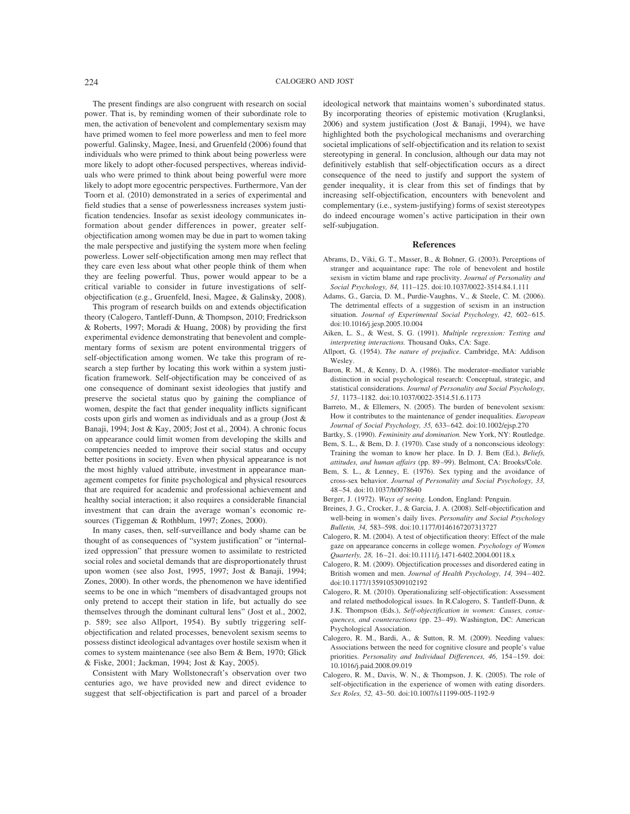The present findings are also congruent with research on social power. That is, by reminding women of their subordinate role to men, the activation of benevolent and complementary sexism may have primed women to feel more powerless and men to feel more powerful. Galinsky, Magee, Inesi, and Gruenfeld (2006) found that individuals who were primed to think about being powerless were more likely to adopt other-focused perspectives, whereas individuals who were primed to think about being powerful were more likely to adopt more egocentric perspectives. Furthermore, Van der Toorn et al. (2010) demonstrated in a series of experimental and field studies that a sense of powerlessness increases system justification tendencies. Insofar as sexist ideology communicates information about gender differences in power, greater selfobjectification among women may be due in part to women taking the male perspective and justifying the system more when feeling powerless. Lower self-objectification among men may reflect that they care even less about what other people think of them when they are feeling powerful. Thus, power would appear to be a critical variable to consider in future investigations of selfobjectification (e.g., Gruenfeld, Inesi, Magee, & Galinsky, 2008).

This program of research builds on and extends objectification theory (Calogero, Tantleff-Dunn, & Thompson, 2010; Fredrickson & Roberts, 1997; Moradi & Huang, 2008) by providing the first experimental evidence demonstrating that benevolent and complementary forms of sexism are potent environmental triggers of self-objectification among women. We take this program of research a step further by locating this work within a system justification framework. Self-objectification may be conceived of as one consequence of dominant sexist ideologies that justify and preserve the societal status quo by gaining the compliance of women, despite the fact that gender inequality inflicts significant costs upon girls and women as individuals and as a group (Jost & Banaji, 1994; Jost & Kay, 2005; Jost et al., 2004). A chronic focus on appearance could limit women from developing the skills and competencies needed to improve their social status and occupy better positions in society. Even when physical appearance is not the most highly valued attribute, investment in appearance management competes for finite psychological and physical resources that are required for academic and professional achievement and healthy social interaction; it also requires a considerable financial investment that can drain the average woman's economic resources (Tiggeman & Rothblum, 1997; Zones, 2000).

In many cases, then, self-surveillance and body shame can be thought of as consequences of "system justification" or "internalized oppression" that pressure women to assimilate to restricted social roles and societal demands that are disproportionately thrust upon women (see also Jost, 1995, 1997; Jost & Banaji, 1994; Zones, 2000). In other words, the phenomenon we have identified seems to be one in which "members of disadvantaged groups not only pretend to accept their station in life, but actually do see themselves through the dominant cultural lens" (Jost et al., 2002, p. 589; see also Allport, 1954). By subtly triggering selfobjectification and related processes, benevolent sexism seems to possess distinct ideological advantages over hostile sexism when it comes to system maintenance (see also Bem & Bem, 1970; Glick & Fiske, 2001; Jackman, 1994; Jost & Kay, 2005).

Consistent with Mary Wollstonecraft's observation over two centuries ago, we have provided new and direct evidence to suggest that self-objectification is part and parcel of a broader ideological network that maintains women's subordinated status. By incorporating theories of epistemic motivation (Kruglanksi, 2006) and system justification (Jost & Banaji, 1994), we have highlighted both the psychological mechanisms and overarching societal implications of self-objectification and its relation to sexist stereotyping in general. In conclusion, although our data may not definitively establish that self-objectification occurs as a direct consequence of the need to justify and support the system of gender inequality, it is clear from this set of findings that by increasing self-objectification, encounters with benevolent and complementary (i.e., system-justifying) forms of sexist stereotypes do indeed encourage women's active participation in their own self-subjugation.

#### **References**

- Abrams, D., Viki, G. T., Masser, B., & Bohner, G. (2003). Perceptions of stranger and acquaintance rape: The role of benevolent and hostile sexism in victim blame and rape proclivity. *Journal of Personality and Social Psychology, 84,* 111–125. doi:10.1037/0022-3514.84.1.111
- Adams, G., Garcia, D. M., Purdie-Vaughns, V., & Steele, C. M. (2006). The detrimental effects of a suggestion of sexism in an instruction situation. *Journal of Experimental Social Psychology, 42,* 602–615. doi:10.1016/j.jesp.2005.10.004
- Aiken, L. S., & West, S. G. (1991). *Multiple regression: Testing and interpreting interactions.* Thousand Oaks, CA: Sage.
- Allport, G. (1954). *The nature of prejudice.* Cambridge, MA: Addison Wesley.
- Baron, R. M., & Kenny, D. A. (1986). The moderator–mediator variable distinction in social psychological research: Conceptual, strategic, and statistical considerations. *Journal of Personality and Social Psychology, 51,* 1173–1182. doi:10.1037/0022-3514.51.6.1173
- Barreto, M., & Ellemers, N. (2005). The burden of benevolent sexism: How it contributes to the maintenance of gender inequalities. *European Journal of Social Psychology, 35,* 633–642. doi:10.1002/ejsp.270
- Bartky, S. (1990). *Femininity and domination.* New York, NY: Routledge. Bem, S. L., & Bem, D. J. (1970). Case study of a nonconscious ideology:
- Training the woman to know her place. In D. J. Bem (Ed.), *Beliefs, attitudes, and human affairs* (pp. 89–99). Belmont, CA: Brooks/Cole.
- Bem, S. L., & Lenney, E. (1976). Sex typing and the avoidance of cross-sex behavior. *Journal of Personality and Social Psychology, 33,* 48–54. doi:10.1037/h0078640
- Berger, J. (1972). *Ways of seeing.* London, England: Penguin.
- Breines, J. G., Crocker, J., & Garcia, J. A. (2008). Self-objectification and well-being in women's daily lives. *Personality and Social Psychology Bulletin, 34,* 583–598. doi:10.1177/0146167207313727
- Calogero, R. M. (2004). A test of objectification theory: Effect of the male gaze on appearance concerns in college women. *Psychology of Women Quarterly, 28,* 16–21. doi:10.1111/j.1471-6402.2004.00118.x
- Calogero, R. M. (2009). Objectification processes and disordered eating in British women and men. *Journal of Health Psychology, 14,* 394–402. doi:10.1177/1359105309102192
- Calogero, R. M. (2010). Operationalizing self-objectification: Assessment and related methodological issues. In R.Calogero, S. Tantleff-Dunn, & J.K. Thompson (Eds.), *Self-objectification in women: Causes, consequences, and counteractions* (pp. 23–49). Washington, DC: American Psychological Association.
- Calogero, R. M., Bardi, A., & Sutton, R. M. (2009). Needing values: Associations between the need for cognitive closure and people's value priorities. *Personality and Individual Differences, 46,* 154–159. doi: 10.1016/j.paid.2008.09.019
- Calogero, R. M., Davis, W. N., & Thompson, J. K. (2005). The role of self-objectification in the experience of women with eating disorders. *Sex Roles, 52,* 43–50. doi:10.1007/s11199-005-1192-9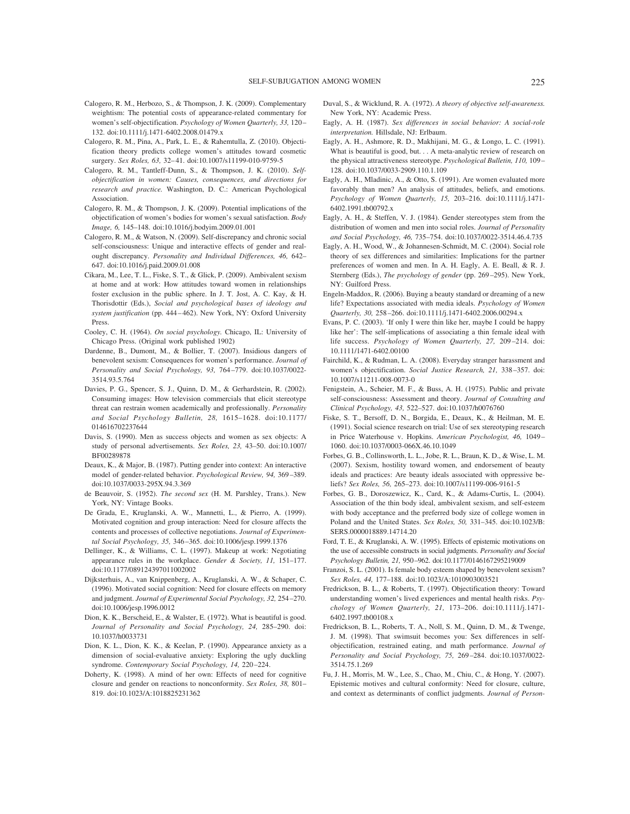- Calogero, R. M., Herbozo, S., & Thompson, J. K. (2009). Complementary weightism: The potential costs of appearance-related commentary for women's self-objectification. *Psychology of Women Quarterly, 33,* 120– 132. doi:10.1111/j.1471-6402.2008.01479.x
- Calogero, R. M., Pina, A., Park, L. E., & Rahemtulla, Z. (2010). Objectification theory predicts college women's attitudes toward cosmetic surgery. *Sex Roles, 63,* 32–41. doi:10.1007/s11199-010-9759-5
- Calogero, R. M., Tantleff-Dunn, S., & Thompson, J. K. (2010). *Selfobjectification in women: Causes, consequences, and directions for research and practice.* Washington, D. C.: American Psychological Association.
- Calogero, R. M., & Thompson, J. K. (2009). Potential implications of the objectification of women's bodies for women's sexual satisfaction. *Body Image, 6,* 145–148. doi:10.1016/j.bodyim.2009.01.001
- Calogero, R. M., & Watson, N. (2009). Self-discrepancy and chronic social self-consciousness: Unique and interactive effects of gender and realought discrepancy. *Personality and Individual Differences, 46,* 642– 647. doi:10.1016/j.paid.2009.01.008
- Cikara, M., Lee, T. L., Fiske, S. T., & Glick, P. (2009). Ambivalent sexism at home and at work: How attitudes toward women in relationships foster exclusion in the public sphere. In J. T. Jost, A. C. Kay, & H. Thorisdottir (Eds.), *Social and psychological bases of ideology and system justification* (pp. 444–462). New York, NY: Oxford University Press.
- Cooley, C. H. (1964). *On social psychology.* Chicago, IL: University of Chicago Press. (Original work published 1902)
- Dardenne, B., Dumont, M., & Bollier, T. (2007). Insidious dangers of benevolent sexism: Consequences for women's performance. *Journal of Personality and Social Psychology, 93,* 764–779. doi:10.1037/0022- 3514.93.5.764
- Davies, P. G., Spencer, S. J., Quinn, D. M., & Gerhardstein, R. (2002). Consuming images: How television commercials that elicit stereotype threat can restrain women academically and professionally. *Personality and Social Psychology Bulletin, 28,* 1615–1628. doi:10.1177/ 014616702237644
- Davis, S. (1990). Men as success objects and women as sex objects: A study of personal advertisements. *Sex Roles, 23,* 43–50. doi:10.1007/ BF00289878
- Deaux, K., & Major, B. (1987). Putting gender into context: An interactive model of gender-related behavior. *Psychological Review, 94,* 369–389. doi:10.1037/0033-295X.94.3.369
- de Beauvoir, S. (1952). *The second sex* (H. M. Parshley, Trans.). New York, NY: Vintage Books.
- De Grada, E., Kruglanski, A. W., Mannetti, L., & Pierro, A. (1999). Motivated cognition and group interaction: Need for closure affects the contents and processes of collective negotiations. *Journal of Experimental Social Psychology, 35,* 346–365. doi:10.1006/jesp.1999.1376
- Dellinger, K., & Williams, C. L. (1997). Makeup at work: Negotiating appearance rules in the workplace. *Gender & Society, 11,* 151–177. doi:10.1177/089124397011002002
- Dijksterhuis, A., van Knippenberg, A., Kruglanski, A. W., & Schaper, C. (1996). Motivated social cognition: Need for closure effects on memory and judgment. *Journal of Experimental Social Psychology, 32,* 254–270. doi:10.1006/jesp.1996.0012
- Dion, K. K., Berscheid, E., & Walster, E. (1972). What is beautiful is good. *Journal of Personality and Social Psychology, 24,* 285–290. doi: 10.1037/h0033731
- Dion, K. L., Dion, K. K., & Keelan, P. (1990). Appearance anxiety as a dimension of social-evaluative anxiety: Exploring the ugly duckling syndrome. *Contemporary Social Psychology, 14,* 220–224.
- Doherty, K. (1998). A mind of her own: Effects of need for cognitive closure and gender on reactions to nonconformity. *Sex Roles, 38,* 801– 819. doi:10.1023/A:1018825231362
- Duval, S., & Wicklund, R. A. (1972). *A theory of objective self-awareness.* New York, NY: Academic Press.
- Eagly, A. H. (1987). *Sex differences in social behavior: A social-role interpretation.* Hillsdale, NJ: Erlbaum.
- Eagly, A. H., Ashmore, R. D., Makhijani, M. G., & Longo, L. C. (1991). What is beautiful is good, but. . . A meta-analytic review of research on the physical attractiveness stereotype. *Psychological Bulletin, 110,* 109– 128. doi:10.1037/0033-2909.110.1.109
- Eagly, A. H., Mladinic, A., & Otto, S. (1991). Are women evaluated more favorably than men? An analysis of attitudes, beliefs, and emotions. *Psychology of Women Quarterly, 15,* 203–216. doi:10.1111/j.1471- 6402.1991.tb00792.x
- Eagly, A. H., & Steffen, V. J. (1984). Gender stereotypes stem from the distribution of women and men into social roles. *Journal of Personality and Social Psychology, 46,* 735–754. doi:10.1037/0022-3514.46.4.735
- Eagly, A. H., Wood, W., & Johannesen-Schmidt, M. C. (2004). Social role theory of sex differences and similarities: Implications for the partner preferences of women and men. In A. H. Eagly, A. E. Beall, & R. J. Sternberg (Eds.), *The psychology of gender* (pp. 269–295). New York, NY: Guilford Press.
- Engeln-Maddox, R. (2006). Buying a beauty standard or dreaming of a new life? Expectations associated with media ideals. *Psychology of Women Quarterly, 30,* 258–266. doi:10.1111/j.1471-6402.2006.00294.x
- Evans, P. C. (2003). 'If only I were thin like her, maybe I could be happy like her': The self-implications of associating a thin female ideal with life success. *Psychology of Women Quarterly, 27,* 209–214. doi: 10.1111/1471-6402.00100
- Fairchild, K., & Rudman, L. A. (2008). Everyday stranger harassment and women's objectification. *Social Justice Research, 21,* 338–357. doi: 10.1007/s11211-008-0073-0
- Fenigstein, A., Scheier, M. F., & Buss, A. H. (1975). Public and private self-consciousness: Assessment and theory. *Journal of Consulting and Clinical Psychology, 43,* 522–527. doi:10.1037/h0076760
- Fiske, S. T., Bersoff, D. N., Borgida, E., Deaux, K., & Heilman, M. E. (1991). Social science research on trial: Use of sex stereotyping research in Price Waterhouse v. Hopkins. *American Psychologist, 46,* 1049– 1060. doi:10.1037/0003-066X.46.10.1049
- Forbes, G. B., Collinsworth, L. L., Jobe, R. L., Braun, K. D., & Wise, L. M. (2007). Sexism, hostility toward women, and endorsement of beauty ideals and practices: Are beauty ideals associated with oppressive beliefs? *Sex Roles, 56,* 265–273. doi:10.1007/s11199-006-9161-5
- Forbes, G. B., Doroszewicz, K., Card, K., & Adams-Curtis, L. (2004). Association of the thin body ideal, ambivalent sexism, and self-esteem with body acceptance and the preferred body size of college women in Poland and the United States. *Sex Roles, 50,* 331–345. doi:10.1023/B: SERS.0000018889.14714.20
- Ford, T. E., & Kruglanski, A. W. (1995). Effects of epistemic motivations on the use of accessible constructs in social judgments. *Personality and Social Psychology Bulletin, 21,* 950–962. doi:10.1177/0146167295219009
- Franzoi, S. L. (2001). Is female body esteem shaped by benevolent sexism? *Sex Roles, 44,* 177–188. doi:10.1023/A:1010903003521
- Fredrickson, B. L., & Roberts, T. (1997). Objectification theory: Toward understanding women's lived experiences and mental health risks. *Psychology of Women Quarterly, 21,* 173–206. doi:10.1111/j.1471- 6402.1997.tb00108.x
- Fredrickson, B. L., Roberts, T. A., Noll, S. M., Quinn, D. M., & Twenge, J. M. (1998). That swimsuit becomes you: Sex differences in selfobjectification, restrained eating, and math performance. *Journal of Personality and Social Psychology, 75,* 269–284. doi:10.1037/0022- 3514.75.1.269
- Fu, J. H., Morris, M. W., Lee, S., Chao, M., Chiu, C., & Hong, Y. (2007). Epistemic motives and cultural conformity: Need for closure, culture, and context as determinants of conflict judgments. *Journal of Person-*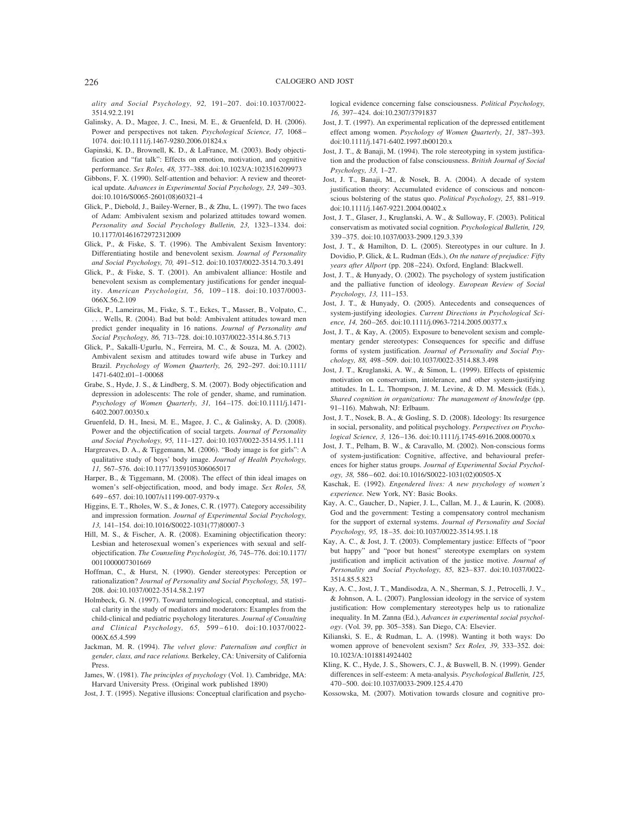*ality and Social Psychology, 92,* 191–207. doi:10.1037/0022- 3514.92.2.191

- Galinsky, A. D., Magee, J. C., Inesi, M. E., & Gruenfeld, D. H. (2006). Power and perspectives not taken. *Psychological Science, 17,* 1068– 1074. doi:10.1111/j.1467-9280.2006.01824.x
- Gapinski, K. D., Brownell, K. D., & LaFrance, M. (2003). Body objectification and "fat talk": Effects on emotion, motivation, and cognitive performance. *Sex Roles, 48,* 377–388. doi:10.1023/A:1023516209973
- Gibbons, F. X. (1990). Self-attention and behavior: A review and theoretical update. *Advances in Experimental Social Psychology, 23,* 249–303. doi:10.1016/S0065-2601(08)60321-4
- Glick, P., Diebold, J., Bailey-Werner, B., & Zhu, L. (1997). The two faces of Adam: Ambivalent sexism and polarized attitudes toward women. *Personality and Social Psychology Bulletin, 23,* 1323–1334. doi: 10.1177/01461672972312009
- Glick, P., & Fiske, S. T. (1996). The Ambivalent Sexism Inventory: Differentiating hostile and benevolent sexism. *Journal of Personality and Social Psychology, 70,* 491–512. doi:10.1037/0022-3514.70.3.491
- Glick, P., & Fiske, S. T. (2001). An ambivalent alliance: Hostile and benevolent sexism as complementary justifications for gender inequality. *American Psychologist, 56,* 109–118. doi:10.1037/0003- 066X.56.2.109
- Glick, P., Lameiras, M., Fiske, S. T., Eckes, T., Masser, B., Volpato, C., . . . Wells, R. (2004). Bad but bold: Ambivalent attitudes toward men predict gender inequality in 16 nations. *Journal of Personality and Social Psychology, 86,* 713–728. doi:10.1037/0022-3514.86.5.713
- Glick, P., Sakalli-Ugurlu, N., Ferreira, M. C., & Souza, M. A. (2002). Ambivalent sexism and attitudes toward wife abuse in Turkey and Brazil. *Psychology of Women Quarterly, 26,* 292–297. doi:10.1111/ 1471-6402.t01–1-00068
- Grabe, S., Hyde, J. S., & Lindberg, S. M. (2007). Body objectification and depression in adolescents: The role of gender, shame, and rumination. *Psychology of Women Quarterly, 31,* 164–175. doi:10.1111/j.1471- 6402.2007.00350.x
- Gruenfeld, D. H., Inesi, M. E., Magee, J. C., & Galinsky, A. D. (2008). Power and the objectification of social targets. *Journal of Personality and Social Psychology, 95,* 111–127. doi:10.1037/0022-3514.95.1.111
- Hargreaves, D. A., & Tiggemann, M. (2006). "Body image is for girls": A qualitative study of boys' body image. *Journal of Health Psychology, 11,* 567–576. doi:10.1177/1359105306065017
- Harper, B., & Tiggemann, M. (2008). The effect of thin ideal images on women's self-objectification, mood, and body image. *Sex Roles, 58,* 649–657. doi:10.1007/s11199-007-9379-x
- Higgins, E. T., Rholes, W. S., & Jones, C. R. (1977). Category accessibility and impression formation. *Journal of Experimental Social Psychology, 13,* 141–154. doi:10.1016/S0022-1031(77)80007-3
- Hill, M. S., & Fischer, A. R. (2008). Examining objectification theory: Lesbian and heterosexual women's experiences with sexual and selfobjectification. *The Counseling Psychologist, 36,* 745–776. doi:10.1177/ 0011000007301669
- Hoffman, C., & Hurst, N. (1990). Gender stereotypes: Perception or rationalization? *Journal of Personality and Social Psychology, 58,* 197– 208. doi:10.1037/0022-3514.58.2.197
- Holmbeck, G. N. (1997). Toward terminological, conceptual, and statistical clarity in the study of mediators and moderators: Examples from the child-clinical and pediatric psychology literatures. *Journal of Consulting and Clinical Psychology, 65,* 599–610. doi:10.1037/0022- 006X.65.4.599
- Jackman, M. R. (1994). *The velvet glove: Paternalism and conflict in gender, class, and race relations.* Berkeley, CA: University of California Press.
- James, W. (1981). *The principles of psychology* (Vol. 1). Cambridge, MA: Harvard University Press. (Original work published 1890)
- Jost, J. T. (1995). Negative illusions: Conceptual clarification and psycho-

logical evidence concerning false consciousness. *Political Psychology, 16,* 397–424. doi:10.2307/3791837

- Jost, J. T. (1997). An experimental replication of the depressed entitlement effect among women. *Psychology of Women Quarterly, 21,* 387–393. doi:10.1111/j.1471-6402.1997.tb00120.x
- Jost, J. T., & Banaji, M. (1994). The role stereotyping in system justification and the production of false consciousness. *British Journal of Social Psychology, 33,* 1–27.
- Jost, J. T., Banaji, M., & Nosek, B. A. (2004). A decade of system justification theory: Accumulated evidence of conscious and nonconscious bolstering of the status quo. *Political Psychology, 25,* 881–919. doi:10.1111/j.1467-9221.2004.00402.x
- Jost, J. T., Glaser, J., Kruglanski, A. W., & Sulloway, F. (2003). Political conservatism as motivated social cognition. *Psychological Bulletin, 129,* 339–375. doi:10.1037/0033-2909.129.3.339
- Jost, J. T., & Hamilton, D. L. (2005). Stereotypes in our culture. In J. Dovidio, P. Glick, & L. Rudman (Eds.), *On the nature of prejudice: Fifty years after Allport* (pp. 208–224). Oxford, England: Blackwell.
- Jost, J. T., & Hunyady, O. (2002). The psychology of system justification and the palliative function of ideology. *European Review of Social Psychology, 13,* 111–153.
- Jost, J. T., & Hunyady, O. (2005). Antecedents and consequences of system-justifying ideologies. *Current Directions in Psychological Science, 14,* 260–265. doi:10.1111/j.0963-7214.2005.00377.x
- Jost, J. T., & Kay, A. (2005). Exposure to benevolent sexism and complementary gender stereotypes: Consequences for specific and diffuse forms of system justification. *Journal of Personality and Social Psychology, 88,* 498–509. doi:10.1037/0022-3514.88.3.498
- Jost, J. T., Kruglanski, A. W., & Simon, L. (1999). Effects of epistemic motivation on conservatism, intolerance, and other system-justifying attitudes. In L. L. Thompson, J. M. Levine, & D. M. Messick (Eds.), *Shared cognition in organizations: The management of knowledge* (pp. 91–116). Mahwah, NJ: Erlbaum.
- Jost, J. T., Nosek, B. A., & Gosling, S. D. (2008). Ideology: Its resurgence in social, personality, and political psychology. *Perspectives on Psychological Science, 3,* 126–136. doi:10.1111/j.1745-6916.2008.00070.x
- Jost, J. T., Pelham, B. W., & Caravallo, M. (2002). Non-conscious forms of system-justification: Cognitive, affective, and behavioural preferences for higher status groups. *Journal of Experimental Social Psychology, 38,* 586–602. doi:10.1016/S0022-1031(02)00505-X
- Kaschak, E. (1992). *Engendered lives: A new psychology of women's experience.* New York, NY: Basic Books.
- Kay, A. C., Gaucher, D., Napier, J. L., Callan, M. J., & Laurin, K. (2008). God and the government: Testing a compensatory control mechanism for the support of external systems. *Journal of Personality and Social Psychology, 95,* 18–35. doi:10.1037/0022-3514.95.1.18
- Kay, A. C., & Jost, J. T. (2003). Complementary justice: Effects of "poor but happy" and "poor but honest" stereotype exemplars on system justification and implicit activation of the justice motive. *Journal of Personality and Social Psychology, 85,* 823–837. doi:10.1037/0022- 3514.85.5.823
- Kay, A. C., Jost, J. T., Mandisodza, A. N., Sherman, S. J., Petrocelli, J. V., & Johnson, A. L. (2007). Panglossian ideology in the service of system justification: How complementary stereotypes help us to rationalize inequality. In M. Zanna (Ed.), *Advances in experimental social psychology*. (Vol*.* 39, pp. 305–358). San Diego, CA: Elsevier.
- Kilianski, S. E., & Rudman, L. A. (1998). Wanting it both ways: Do women approve of benevolent sexism? *Sex Roles, 39,* 333–352. doi: 10.1023/A:1018814924402
- Kling, K. C., Hyde, J. S., Showers, C. J., & Buswell, B. N. (1999). Gender differences in self-esteem: A meta-analysis. *Psychological Bulletin, 125,* 470–500. doi:10.1037/0033-2909.125.4.470
- Kossowska, M. (2007). Motivation towards closure and cognitive pro-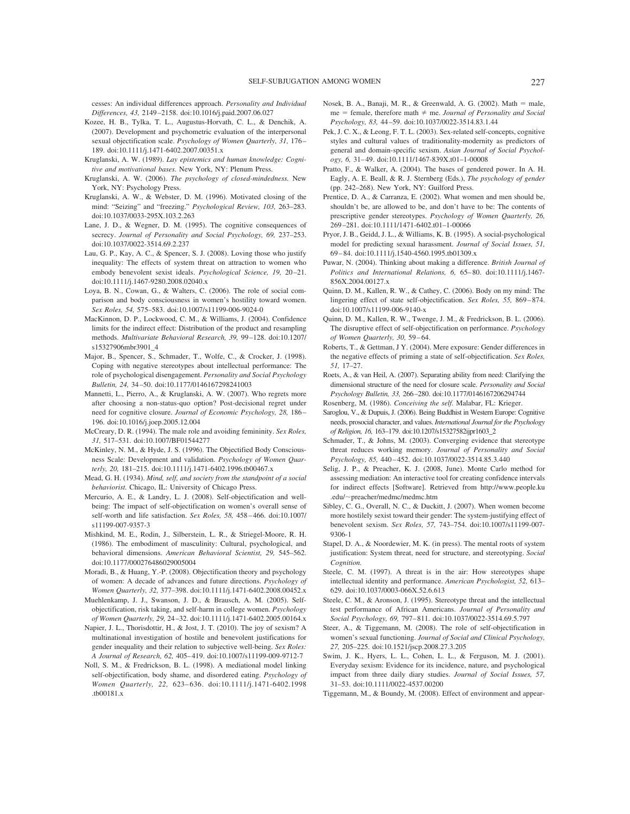cesses: An individual differences approach. *Personality and Individual Differences, 43,* 2149–2158. doi:10.1016/j.paid.2007.06.027

- Kozee, H. B., Tylka, T. L., Augustus-Horvath, C. L., & Denchik, A. (2007). Development and psychometric evaluation of the interpersonal sexual objectification scale. *Psychology of Women Quarterly, 31,* 176– 189. doi:10.1111/j.1471-6402.2007.00351.x
- Kruglanski, A. W. (1989). *Lay epistemics and human knowledge: Cognitive and motivational bases.* New York, NY: Plenum Press.
- Kruglanski, A. W. (2006). *The psychology of closed-mindedness.* New York, NY: Psychology Press.
- Kruglanski, A. W., & Webster, D. M. (1996). Motivated closing of the mind: "Seizing" and "freezing." *Psychological Review, 103,* 263–283. doi:10.1037/0033-295X.103.2.263
- Lane, J. D., & Wegner, D. M. (1995). The cognitive consequences of secrecy. *Journal of Personality and Social Psychology, 69,* 237–253. doi:10.1037/0022-3514.69.2.237
- Lau, G. P., Kay, A. C., & Spencer, S. J. (2008). Loving those who justify inequality: The effects of system threat on attraction to women who embody benevolent sexist ideals. *Psychological Science, 19,* 20–21. doi:10.1111/j.1467-9280.2008.02040.x
- Loya, B. N., Cowan, G., & Walters, C. (2006). The role of social comparison and body consciousness in women's hostility toward women. *Sex Roles, 54,* 575–583. doi:10.1007/s11199-006-9024-0
- MacKinnon, D. P., Lockwood, C. M., & Williams, J. (2004). Confidence limits for the indirect effect: Distribution of the product and resampling methods. *Multivariate Behavioral Research, 39,* 99–128. doi:10.1207/ s15327906mbr3901\_4
- Major, B., Spencer, S., Schmader, T., Wolfe, C., & Crocker, J. (1998). Coping with negative stereotypes about intellectual performance: The role of psychological disengagement. *Personality and Social Psychology Bulletin, 24,* 34–50. doi:10.1177/0146167298241003
- Mannetti, L., Pierro, A., & Kruglanski, A. W. (2007). Who regrets more after choosing a non-status-quo option? Post-decisional regret under need for cognitive closure. *Journal of Economic Psychology, 28,* 186– 196. doi:10.1016/j.joep.2005.12.004
- McCreary, D. R. (1994). The male role and avoiding femininity. *Sex Roles, 31,* 517–531. doi:10.1007/BF01544277
- McKinley, N. M., & Hyde, J. S. (1996). The Objectified Body Consciousness Scale: Development and validation. *Psychology of Women Quarterly, 20,* 181–215. doi:10.1111/j.1471-6402.1996.tb00467.x
- Mead, G. H. (1934). *Mind, self, and society from the standpoint of a social behaviorist.* Chicago, IL: University of Chicago Press.
- Mercurio, A. E., & Landry, L. J. (2008). Self-objectification and wellbeing: The impact of self-objectification on women's overall sense of self-worth and life satisfaction. *Sex Roles, 58,* 458–466. doi:10.1007/ s11199-007-9357-3
- Mishkind, M. E., Rodin, J., Silberstein, L. R., & Striegel-Moore, R. H. (1986). The embodiment of masculinity: Cultural, psychological, and behavioral dimensions. *American Behavioral Scientist, 29,* 545–562. doi:10.1177/000276486029005004
- Moradi, B., & Huang, Y.-P. (2008). Objectification theory and psychology of women: A decade of advances and future directions. *Psychology of Women Quarterly, 32,* 377–398. doi:10.1111/j.1471-6402.2008.00452.x
- Muehlenkamp, J. J., Swanson, J. D., & Brausch, A. M. (2005). Selfobjectification, risk taking, and self-harm in college women. *Psychology of Women Quarterly, 29,* 24–32. doi:10.1111/j.1471-6402.2005.00164.x
- Napier, J. L., Thorisdottir, H., & Jost, J. T. (2010). The joy of sexism? A multinational investigation of hostile and benevolent justifications for gender inequality and their relation to subjective well-being. *Sex Roles: A Journal of Research, 62,* 405–419. doi:10.1007/s11199-009-9712-7
- Noll, S. M., & Fredrickson, B. L. (1998). A mediational model linking self-objectification, body shame, and disordered eating. *Psychology of Women Quarterly, 22,* 623–636. doi:10.1111/j.1471-6402.1998 .tb00181.x
- Nosek, B. A., Banaji, M. R., & Greenwald, A. G.  $(2002)$ . Math = male,  $me = female$ , therefore math  $\neq$  me. *Journal of Personality and Social Psychology, 83,* 44–59. doi:10.1037/0022-3514.83.1.44
- Pek, J. C. X., & Leong, F. T. L. (2003). Sex-related self-concepts, cognitive styles and cultural values of traditionality-modernity as predictors of general and domain-specific sexism. *Asian Journal of Social Psychology, 6,* 31–49. doi:10.1111/1467-839X.t01–1-00008
- Pratto, F., & Walker, A. (2004). The bases of gendered power. In A. H. Eagly, A. E. Beall, & R. J. Sternberg (Eds.), *The psychology of gender* (pp. 242–268). New York, NY: Guilford Press.
- Prentice, D. A., & Carranza, E. (2002). What women and men should be, shouldn't be, are allowed to be, and don't have to be: The contents of prescriptive gender stereotypes. *Psychology of Women Quarterly, 26,* 269–281. doi:10.1111/1471-6402.t01–1-00066
- Pryor, J. B., Geidd, J. L., & Williams, K. B. (1995). A social-psychological model for predicting sexual harassment. *Journal of Social Issues, 51,* 69–84. doi:10.1111/j.1540-4560.1995.tb01309.x
- Puwar, N. (2004). Thinking about making a difference. *British Journal of Politics and International Relations, 6,* 65–80. doi:10.1111/j.1467- 856X.2004.00127.x
- Quinn, D. M., Kallen, R. W., & Cathey, C. (2006). Body on my mind: The lingering effect of state self-objectification. *Sex Roles, 55,* 869–874. doi:10.1007/s11199-006-9140-x
- Quinn, D. M., Kallen, R. W., Twenge, J. M., & Fredrickson, B. L. (2006). The disruptive effect of self-objectification on performance. *Psychology of Women Quarterly, 30,* 59–64.
- Roberts, T., & Gettman, J Y. (2004). Mere exposure: Gender differences in the negative effects of priming a state of self-objectification. *Sex Roles, 51,* 17–27.
- Roets, A., & van Heil, A. (2007). Separating ability from need: Clarifying the dimensional structure of the need for closure scale. *Personality and Social Psychology Bulletin, 33,* 266–280. doi:10.1177/0146167206294744
- Rosenberg, M. (1986). *Conceiving the self.* Malabar, FL: Krieger.
- Saroglou, V., & Dupuis, J. (2006). Being Buddhist in Western Europe: Cognitive needs, prosocial character, and values. *International Journal for the Psychology of Religion, 16,* 163–179. doi:10.1207/s15327582ijpr1603\_2
- Schmader, T., & Johns, M. (2003). Converging evidence that stereotype threat reduces working memory. *Journal of Personality and Social Psychology, 85,* 440–452. doi:10.1037/0022-3514.85.3.440
- Selig, J. P., & Preacher, K. J. (2008, June). Monte Carlo method for assessing mediation: An interactive tool for creating confidence intervals for indirect effects [Software]. Retrieved from http://www.people.ku .edu/\*preacher/medmc/medmc.htm
- Sibley, C. G., Overall, N. C., & Duckitt, J. (2007). When women become more hostilely sexist toward their gender: The system-justifying effect of benevolent sexism. *Sex Roles, 57,* 743–754. doi:10.1007/s11199-007- 9306-1
- Stapel, D. A., & Noordewier, M. K. (in press). The mental roots of system justification: System threat, need for structure, and stereotyping. *Social Cognition.*
- Steele, C. M. (1997). A threat is in the air: How stereotypes shape intellectual identity and performance. *American Psychologist, 52,* 613– 629. doi:10.1037/0003-066X.52.6.613
- Steele, C. M., & Aronson, J. (1995). Stereotype threat and the intellectual test performance of African Americans. *Journal of Personality and Social Psychology, 69,* 797–811. doi:10.1037/0022-3514.69.5.797
- Steer, A., & Tiggemann, M. (2008). The role of self-objectification in women's sexual functioning. *Journal of Social and Clinical Psychology, 27,* 205–225. doi:10.1521/jscp.2008.27.3.205
- Swim, J. K., Hyers, L. L., Cohen, L. L., & Ferguson, M. J. (2001). Everyday sexism: Evidence for its incidence, nature, and psychological impact from three daily diary studies. *Journal of Social Issues, 57,* 31–53. doi:10.1111/0022-4537.00200
- Tiggemann, M., & Boundy, M. (2008). Effect of environment and appear-